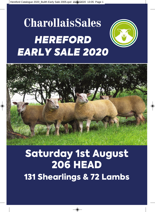# **CharollaisSales** *HEREFORD EARLY SALE 2020*



# Saturday 1st August 206 HEAD 131 Shearlings & 72 Lambs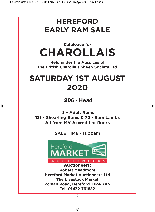## **HEREFORD EARLY RAM SALE**

## **Catalogue for CHAROLLAIS**

**Held under the Auspices of the British Charollais Sheep Society Ltd**

## **SATURDAY 1ST AUGUST 2020**

206 - Head

**3 - Adult Rams 131 - Shearling Rams & 72 - Ram Lambs All from MV Accredited flocks**

**SALE TIME - 11.00am**



**Auctioneers: Robert Meadmore Hereford Market Auctioneers Ltd The Livestock Market Roman Road, Hereford HR4 7AN Tel: 01432 761882**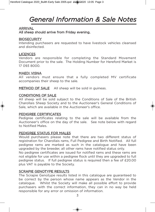## *General Information & Sale Notes*

#### ARRIVAL

All sheep should arrive from Friday evening.

#### **BIOSECURITY**

Intending purchasers are requested to have livestock vehicles cleansed and disinfected.

#### LICENCES

Vendors are responsible for completing the Standard Movement Document prior to the sale. The Holding Number for Hereford Market is 17 093 8000.

#### MAEDI VISNA

All vendors must ensure that a fully completed MV certificate accompanies their sheep to the sale.

METHOD OF SALE All sheep will be sold in guineas.

#### CONDITIONS OF SALE

All sheep will be sold subject to the Conditions of Sale of the British Charollais Sheep Society and to the Auctioneer's General Conditions of Sale, which are available in the Auctioneer's office.

#### PEDIGREE CERTIFICATES

Pedigree certificates relating to the sale will be available from the Auctioneer's office on the day of the sale. See note below with regard to Notified Males.

#### PEDIGREE STATUS FOR MALES

Would purchasers please note that there are two different status of registration for Charollais rams, Full Pedigree and Birth Notified. All full pedigree rams are marked as such in the catalogue and have been upgraded by the breeder, all other rams have notified status only.

No pedigree certificates are issued for notified rams and these rams are not eligible for use within a pedigree flock until they are upgraded to full pedigree status. If full pedigree status is required then a fee of £20.00 plus VAT is payable to the Society.

#### SCRAPIE GENOTYPE RESULTS

The Scrapie Genotype results listed in this catalogue are guaranteed to be correct by the person whose name appears as the Vendor in the catalogue. Whilst the Society will make all possible effort to provide purchasers with the correct information, they can in no way be held responsible for any error or omission of information.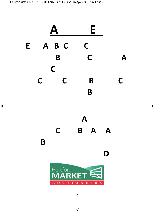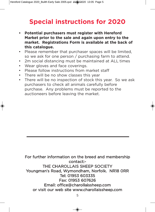## **Special instructions for 2020**

- **• Potential purchasers must register with Hereford Market prior to the sale and again upon entry to the market. Registrations Form is available at the back of this catalogue.**
- Please remember that purchaser spaces will be limited, so we ask for one person / purchasing farm to attend.
- 2m social distancing must be maintained at ALL times
- Wear gloves and face coverings.
- Please follow instructions from market staff
- There will be no show classes this year
- There will be no inspection of stock this year. So we ask purchasers to check all animals carefully before purchase. Any problems must be reported to the auctioneers before leaving the market.

For further information on the breed and membership contact:- THE CHAROLLAIS SHEEP SOCIETY Youngman's Road, Wymondham, Norfolk. NR18 0RR Tel: 01953 603335 Fax: 01953 607626 Email: office@charollaissheep.com or visit our web site www.charollaissheep.com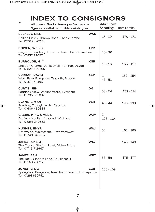## **INDEX TO CONSIGNORS**

|            | <b>Adult Rams</b>                                                                                                                                                                                                                | Ram Lambs  |
|------------|----------------------------------------------------------------------------------------------------------------------------------------------------------------------------------------------------------------------------------|------------|
| <b>WAK</b> | 17 - 19                                                                                                                                                                                                                          | 170 - 171  |
| <b>XPR</b> | $20 - 36$                                                                                                                                                                                                                        |            |
| <b>XNR</b> | $10 - 16$                                                                                                                                                                                                                        | 155 - 157  |
| <b>XEV</b> | 1<br>$45 - 51$                                                                                                                                                                                                                   | 152 - 154  |
| DQ         | $53 - 54$                                                                                                                                                                                                                        | 172 - 174  |
| <b>VEH</b> | $43 - 44$                                                                                                                                                                                                                        | 198 - 199  |
| <b>WZY</b> | 2<br>126 - 134                                                                                                                                                                                                                   |            |
| <b>WAJ</b> | 52                                                                                                                                                                                                                               | 162 - 165  |
| <b>WLV</b> |                                                                                                                                                                                                                                  | 140 - 148  |
| <b>WRZ</b> | $55 - 56$                                                                                                                                                                                                                        | 175 - 177  |
| <b>ZGB</b> | 100 - 109                                                                                                                                                                                                                        |            |
|            | All these flocks have performance<br>figures available in this catalogue.<br>Gwyndy, Llandeloy, Haverfordwest, Pembrokeshire<br>Sheldon Grange, Dunkeswell, Honiton, Devon<br>Springfield Bungalow, Newchurch West, Nr. Chepstow | Shearlings |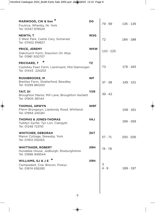| MARWOOD, CW & Son <sup>*</sup><br>Foulrice, Whenby, Nr. York<br>Tel: 01347 878529          | DG         | 79 - 99      | 135 - 139   |
|--------------------------------------------------------------------------------------------|------------|--------------|-------------|
| <b>NEWTH, T</b><br>3 West Park, Castle Cary, Somerset<br>Tel: 07402 919827                 | <b>WSG</b> | 72           | 184 - 188   |
| <b>PRICE, JEREMY</b><br>Oakchurch Farm, Staunton On Wye,<br>Tel: 01981 500707              | <b>WKW</b> | $110 - 125$  |             |
| <b>PRICHARD, T</b><br>Castellau Fawr Farm, Llantrisant, Mid Glamorgan<br>Tel: 01443 224253 | ΤZ         | 73           | 178 - 183   |
| <b>RUSHBROOKE, M</b><br>Brettles Farm, Shatterford, Bewdley<br>Tel: 01299 861200           | <b>WF</b>  | $37 - 38$    | 149 - 151   |
| TAIT, DI<br>Broughton Manor, Mill Lane, Broughton Hackett<br>Tel: 01905 381144             | YXR        | $39 - 42$    |             |
| THOMAS, ARWYN<br>Fferm Bryngwyn, Llanboidy Road, Whitland<br>Tel: 01994 240261             | <b>WRF</b> |              | 158 - 161   |
| <b>THOMAS &amp; JONES-THOMAS</b><br>Tyddyn Gyrfar, Tyn Lon, Caergybi<br>Tel: 01248 723110  | <b>VAJ</b> |              | 166 - 169   |
| <b>WHITCHER, DEBORAH</b><br>Manor Cottage, Skewsby, York.<br>Tel: 07813 050163             | <b>ZKT</b> | $57 - 71$    | $200 - 206$ |
| <b>WHITTAKER, ROBERT</b><br>Hundalee House, Jedburgh, Roxburghshire<br>Tel: 01896 848544   | <b>XRH</b> | 74 - 78      |             |
| <b>WILLIAMS, GJ &amp; J E</b><br>Cwmpadest, Crai, Brecon, Powys.<br>Tel: 01874 636285      | XRH        | 3<br>$4 - 9$ | 189 - 197   |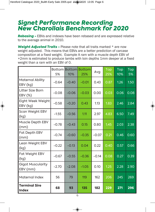### *Signet Performance Recording New Charollais Benchmark for 2020*

*Rebasing -* EBVs and indexes have been rebased and are expressed relative to the average animal in 2010.

**Weight Adjusted Traits - Please note that all traits marked \* are now** weight adjusted. This means that EBVs are a better prediction of carcase composition at a fixed weight. Example A ram with a muscle depth EBV of +2mm is estimated to produce lambs with loin depths 1mm deeper at a fixed weight than a ram with an EBV of 0.

|                                      | 5%      | 10%     | <b>Bottom Bottom Bottom</b><br>25% | Avg     | <b>Top</b><br>25% | $\overline{\text{Top}}$<br>10% | Top<br>5% |
|--------------------------------------|---------|---------|------------------------------------|---------|-------------------|--------------------------------|-----------|
| <b>Maternal Ability</b><br>EBV (kg)  | $-0.64$ | $-0.40$ | $-0.01$                            | 0.43    | 0.87              | 1.26                           | 1.50      |
| Litter Size Born<br>EBV (%)          | $-0.08$ | $-0.06$ | $-0.03$                            | 0.00    | 0.03              | 0.06                           | 0.08      |
| Eight Week Weight<br>EBV (kg)        | $-0.58$ | $-0.20$ | 0.43                               | 1.13    | 1.83              | 2.46                           | 2.84      |
| Scan Weight EBV<br>(kg)              | $-1.55$ | $-0.56$ | 1.11                               | 2.97    | 4.83              | 6.50                           | 7.49      |
| Muscle Depth EBV<br>(mm)             | $-0.78$ | $-0.43$ | 0.15                               | 0.80    | 1.45              | 2.03                           | 2.38      |
| Fat Depth EBV<br>(mm)                | $-0.74$ | $-0.60$ | $-0.35$                            | $-0.07$ | 0.21              | 0.46                           | 0.60      |
| Lean Weight EBV<br>(kg)              | $-0.22$ | $-0.13$ | 0.04                               | 0.22    | 0.40              | 0.57                           | 0.66      |
| Fat Weight EBV<br>(kg)               | $-0.67$ | $-0.55$ | $-0.36$                            | $-0.14$ | 0.08              | 0.27                           | 0.39      |
| <b>Gigot Muscularity</b><br>EBV (mm) | $-2.70$ | $-2.08$ | $-1.05$                            | 0.10    | 1.25              | 2.28                           | 2.90      |
| Maternal Index                       | 56      | 79      | 119                                | 162     | 206               | 245                            | 269       |
| <b>Terminal Sire</b><br><b>Index</b> | 68      | 93      | 135                                | 182     | 229               | 271                            | 296       |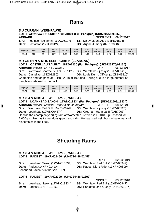### **Rams**

#### **D J CURRAN (WERNFAWR)**

#### **LOT 1 WERNFAWR THUNDER 18XEV01360 (Full Pedigree) (UK0720768/01360) ARR/ARR** SINGLE-ET 09/12/2017

**Sire:** Foulrice Rachamin (16DG06107) **SS:** Dalby Mount Aloe (12PE01524) **Dam:** Edstaston (12TG00124) **DS:** Arjane Jumanji (0ZRF9038)

| Adj Wgt | Age | Scan<br>Wat | <b>Mscle</b><br>Dep | $=$ at<br>Dep | 8 Wk<br><b>EBV</b> | Scan<br><b>EBV</b> | Mscl<br>EBV<br>Dpt | Fat<br>Dpt<br>EBV                 | Gigot<br>EB <sub>V</sub> | <b>INDEX</b><br><b>EBV</b> |
|---------|-----|-------------|---------------------|---------------|--------------------|--------------------|--------------------|-----------------------------------|--------------------------|----------------------------|
| 32.10   | 153 | 69          | 35.77               | 5.63          | .58                | 4.30               | 2.16               | $\overline{\phantom{a}}$<br>-0.4. | 0.80                     | 223.28                     |

#### **MR GETHIN & MRS ELERI GIBBIN (LLANGAN)**

**LOT 2 CASTELLAU TALENT 18TZ02130 (Full Pedigree) (UK0726270/02130) ARR/ARR** *Breeder : Mr T L Prichard* TWIN 06/12/2017 **Sire:** Wernfawr Spartacus (17XEV01125) **SS:** Wernfawr Nijinsky (13XEV00525) **Dam:** Castellau (16TZ01280) **DS:** Logie Durno Officer (14ZNN09810) Champion and top price at Builth I 2018 at 1900gns. Selling due to a large number of daughters retained in the flock.

| Adi Wat | Age | Scan<br>Wat | Mscle<br>Dep | $at$<br>Dep          | 8 Wk<br>EB\                      | Scan<br><b>EBV</b> | Mscl<br>EBV<br>Dpt | $=$ at<br>Dpt<br>EBV | Gigot<br>EBV | <b>INDEX</b><br>EBV |
|---------|-----|-------------|--------------|----------------------|----------------------------------|--------------------|--------------------|----------------------|--------------|---------------------|
| 26.70   | 139 | 58.50       | 31.81        | $\overline{a}$<br>д. | $\Delta$ $\Omega$<br>$\ldots$ io | $\sim$<br>ے۔ ت     | 0.86               | 0.25                 | $-0.24$      | 174.58              |

#### **MR G J & MRS J E WILLIAMS (PADEST)**

**LOT 3 LOANHEAD SAXON 17WNC18334 (Full Pedigree) (UK0521509/18334) ARR/ARR** *Breeder : Messrs Gregor & Bruce Ingram* TWIN-ET 08/12/201 **Sire:** Wernfawr Red Bull (16XEV00947) **SS:** Wernfawr Nijinsky (13XEV00525) **Dam:** Loanhead (12WNC04374) **DS:** Crogham Hannibal II (0AB7003) He was the champion yearling ram at Worcester Premier sale 2018 purchased for 2,000gns. He has tremendous gigots and skin. He has bred well, but we have many of his females in the flock.

### **Shearling Rams**

#### **MR G J & MRS J E WILLIAMS (PADEST)**

#### **LOT 4 PADEST 19XRH02456 (UK0724486/02456)**

TRIPLET 02/03/2019

**Sire:** Loanhead Saxon (17WNC18334) **SS:** Wernfawr Red Bull (16XEV00947) **Dam:** Padest (14XRH01410) **DS:** Padest Night Rider (13XRH00899) Loanhead Saxon is in the sale Lot 3

#### **LOT 5 PADEST 19XRH02399 (UK0724486/02399)**

**Sire:** Loanhead Saxon (17WNC18334) **SS:** Wernfawr Red Bull (16XEV00947) **Dam:** Padest (16XRH01936) **DS:** Parkgate One & Only (14ZCA01074)

SINGLE 03/12/2018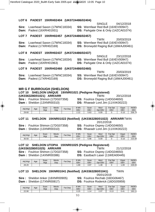#### **LOT 6 PADEST 19XRH02404 (UK0724486/02404)**

|                                          | 04/12/2018<br>SINGLE                        |
|------------------------------------------|---------------------------------------------|
| <b>Sire:</b> Loanhead Saxon (17WNC18334) | <b>SS:</b> Wernfawr Red Bull (16XEV00947)   |
| <b>Dam:</b> Padest (16XRH01931)          | <b>DS:</b> Parkgate One & Only (14ZCA01074) |

#### **LOT 7 PADEST 19XRH02457 (UK0724486/02457)**

|                                          |  | TWIN                                      | 20/03/2019                                   |
|------------------------------------------|--|-------------------------------------------|----------------------------------------------|
| <b>Sire:</b> Loanhead Saxon (17WNC18334) |  | <b>SS:</b> Wernfawr Red Bull (16XEV00947) |                                              |
| <b>Dam:</b> Padest (17XRH02169)          |  |                                           | <b>DS:</b> Bronwydd Raging Bull (16WAJ00461) |

#### **LOT 8 PADEST 19XRH02437 (UK0724486/02437)**

|                                          | SINGLE                                      | 23/12/2018 |
|------------------------------------------|---------------------------------------------|------------|
| <b>Sire:</b> Loanhead Saxon (17WNC18334) | <b>SS:</b> Wernfawr Red Bull (16XEV00947)   |            |
| <b>Dam:</b> Padest (16XRH01963)          | <b>DS:</b> Parkgate One & Only (14ZCA01074) |            |

#### **LOT 9 PADEST 19XRH02460 (UK0724486/02460)**

|                                          | TWIN                                         | 20/03/2019 |
|------------------------------------------|----------------------------------------------|------------|
| <b>Sire:</b> Loanhead Saxon (17WNC18334) | <b>SS:</b> Wernfawr Red Bull (16XEV00947)    |            |
| <b>Dam:</b> Padest (17XRH02169)          | <b>DS:</b> Bronwydd Raging Bull (16WAJ00461) |            |

#### **MR G F BURROUGH (SHELDON)**

#### **LOT 10 SHELDON UNIQUE 19XNR01021 (Pedigree Registered)**

| (UK0363280/01021) ARR/ARR |  |
|---------------------------|--|
|---------------------------|--|

**(UK0363280/01021) ARR/ARR** TWIN 20/12/2018

**Sire :** Foulrice Shimon (17DG07358) **SS:** Foulrice Osprey (14DG04650)

- 
- 
- **Dam :** Sheldon (13XNR00310) **DS:** Rhaeadr Lord Jim (11XXK00222)

| Adj Wgt | Age | Scan<br>Wat | Mscle<br>Dep | Fat.<br>Dep | 8 Wk<br><b>EBV</b> | Scan<br><b>EBV</b> | Mscl<br>EBV<br>Dot | $E_{21}$<br>Dpt<br>∙aι<br>EBV | Gigot<br>EBV | <b>INDEX</b><br>EBV |
|---------|-----|-------------|--------------|-------------|--------------------|--------------------|--------------------|-------------------------------|--------------|---------------------|
| 29.60   |     |             |              |             | $\Omega$<br>ے ۔۔   | 5.63               | 0.09               |                               | $-0.10$      | 208.79              |

#### **LOT 11 SHELDON 19XNR01022 (Notified) (UK0363280/01022) ARR/ARR** TWIN

**Sire :** Foulrice Shimon (17DG07358) **Dam :** Sheldon (13XNR00310) **DS:** Rhaeadr Lord Jim (11XXK00222)

20/12/2018<br>**SS:** Foulrice Osprey (14DG04650)

| Adj Wgt | Age | Scan<br>Wgt | Mscle<br>Dep | Fat Dep | 8 Wk<br><b>EBV</b> | Scan<br>EBV | Mscl<br>Dpt EBV | Dpt<br>Fat<br>EBV | Gigot<br>EBV | <b>INDEX</b><br>EBV |
|---------|-----|-------------|--------------|---------|--------------------|-------------|-----------------|-------------------|--------------|---------------------|
| 30.50   |     |             |              |         | 2.27<br>، ت        | 5.98        | 0.09            |                   | $-0.10$      | 215.08              |

#### **LOT 12 SHELDON UTOPIA 19XNR01025 (Pedigree Registered) (UK0363280/01025) ARR/ARR** TWIN 21/12/2018

**Sire :** Foulrice Shimon (17DG07358) **SS:** Foulrice Osprey (14DG04650) **Dam :** Sheldon (14XNR00386) **DS:** Eastbach Laser (11WEA00445)

- 
- 

| Adi Wat | Age | Scan<br>Wgt | Mscle<br>Dep | $at$ Dep | 8 Wk<br><b>EBV</b> | Scan<br><b>EBV</b> | Mscl<br>EBV<br>Dot | Fat Dpt<br><b>EBV</b> | Gigot<br><b>EBV</b> | <b>INDEX</b><br>EBV |
|---------|-----|-------------|--------------|----------|--------------------|--------------------|--------------------|-----------------------|---------------------|---------------------|
| 28.20   |     |             |              |          | . 69               | 3.97               | . . 48             |                       | 09،،                | 228.83              |

#### **LOT 13 SHELDON 19XNR01041 (Notified) (UK0363280/01041)** TWIN

05/01/2019

**Sire :** Sheldon tinker (18XNR00905) **SS:** Foulrice Rechab (16DG06467)

**Dam :** Sheldon (17XNR00817) **DS:** Foulrice Roderick (16DG05959)

| Adj Wgt | Age | Scan<br>Wat | Mscle<br>Dep | $F_{at}$<br>Dep | 3 Wk<br><b>EBV</b> | Scan<br>EBV | Mscl<br>EBV<br>Dot | Fat<br>Dpt<br>EBV | Gigot<br>EBV | <b>INDEX</b><br>EBV |
|---------|-----|-------------|--------------|-----------------|--------------------|-------------|--------------------|-------------------|--------------|---------------------|
| 22.90   |     |             |              |                 | 0.25               | 14          | 2.07               | <b>v.iv</b>       | 0.41         | 193.11              |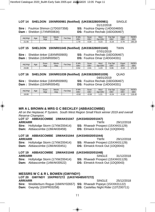#### **LOT 14 SHELDON 19XNR00981 (Notified) (UK0363280/00981)** SINGLE 01/12/2018

**Sire :** Foulrice Shimon (17DG07358) **SS:** Foulrice Osprey (14DG04650)

**Dam :** Sheldon (17XNR00834) **DS:** Foulrice Rechab (16DG06467)

| Adj Wgt | Aqe | Scan<br>Wgt | Mscle<br>Dep | $F$ at Dep | 8 Wk<br>EBV | Scan<br><b>EBV</b> | Mscl<br>Dpt EBV | Fat Dpt<br>EBV | Gigot<br><b>EBV</b> | <b>INDEX</b><br>EBV |
|---------|-----|-------------|--------------|------------|-------------|--------------------|-----------------|----------------|---------------------|---------------------|
| 21.90   |     |             |              |            | .79         | 4.34               | 0.23            | $-0.24$        | 0.78                | 190.29              |

#### **LOT 15 SHELDON 19XNR01045 (Notified) (UK0363280/01045)** TWIN

07/01/2019

**Sire :** Sheldon tinker (18XNR00905) **SS:** Foulrice Rechab (16DG06467) **Dam :** Sheldon (15XNR00567) **DS:** Foulrice Omar (14DG04331)

**DS:** Foulrice Omar (14DG04331)

| Adj Wgt | Age | Scan<br>Wat | Mscle<br>Dep | Fat<br>Dep | 8 Wk<br>EBV            | Scan<br>EBV | <b>Mscl</b><br><b>EBV</b><br>Dot | Fat<br>Dpt<br>EBV | Gigot<br>EBV | <b>INDEX</b><br>EBV |
|---------|-----|-------------|--------------|------------|------------------------|-------------|----------------------------------|-------------------|--------------|---------------------|
| 23.80   |     |             |              |            | 5 <sup>2</sup><br>u.oz | 2.01        | ົດຕ<br>دے.                       | 0.06              | ר ה<br>-U.ZZ | 175.22<br>∠د.ס      |

#### **LOT 16 SHELDON 19XNR01039 (Notified) (UK0363280/01039)** QUAD

04/01/2019

**Sire :** Sheldon tinker (18XNR00905) **SS:** Foulrice Rechab (16DG06467)

**Dam :** Sheldon (15XNR00545) **DS:** Foulrice Omar (14DG04331)

| Adj Wgt | Age | Scan<br>Wgt | Mscle<br>Dep | $Fat$ Dep | 8 Wk<br>EBV | Scan<br>EBV | Mscl<br>Dpt EBV | Fat<br>Dpt<br>EBV | Gigot<br>EBV | <b>INDEX</b><br><b>EBV</b> |
|---------|-----|-------------|--------------|-----------|-------------|-------------|-----------------|-------------------|--------------|----------------------------|
| 18.80   |     |             |              |           | $-0.50$     | $-0.59$     | $\Omega$<br>.   | $-0.24$           | $-0.20$      | 118.40                     |

#### **MR A L BROWN & MRS G C BECKLEY (ABBASCOMBE)**

*All on the Heptavac P System. South West Region Small Flock winner 2019 and overall Reserve Champion.* 

#### **LOT 17 ABBASCOMBE 19WAK01047 (UK0345020/01047) ARR/ARR** TWIN 29/12/2018

**Sire:** Hollylodge Storm (17XWZ00414) **SS:** Rhaeadr Prospect (15XXK01129) **Dam:** Abbascombe (13WAK00459) **DS:** Elmwick Knock Out (1DQ0043)

#### **LOT 18 ABBASCOMBE 19WAK01044 (UK0345020/01044) ARR/ARR** TWIN 29/12/2018

**Sire:** Hollylodge Storm (17XWZ00414) **SS:** Rhaeadr Prospect (15XXK01129) **Dam:** Abbascombe (13WAK00451) **DS:** Elmwick Knock Out (1DQ0043)

#### **LOT 19 ABBASCOMBE 19WAK01048 (UK0345020/01048) ARR/ARR** SINGLE 31/12/2018

**Sire:** Hollylodge Storm (17XWZ00414) **SS:** Rhaeadr Prospect (15XXK01129) **Dam:** Abbascombe (14WAK00522) **DS:** Elmwick Knock Out (1DQ0043)

#### **MESSRS W C & R L BOWEN (GWYNDY)**

#### **LOT 20 GWYNDY 19XPR07272 (UK0745485/07272) ARR/ARR** SINGLE 25/12/2018

**Sire:** Wedderburn Rogue (16WNY02657) **SS:** Rhaeadr Popeye (15XXK01122) **Dam:** Gwyndy (15XPR03258) **DS:** Castellau Night Rider (13TZ00711)

- 
- 

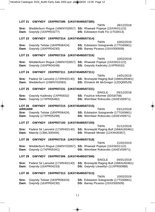| <b>LOT 21</b>                   |                     | GWYNDY 19XPR07285 (UK0745485/07285)                           |                                                                                             |               |            |
|---------------------------------|---------------------|---------------------------------------------------------------|---------------------------------------------------------------------------------------------|---------------|------------|
| Sire:<br>Dam:                   | Gwyndy (15XPR03277) | Wedderburn Rogue (16WNY02657) SS: Rhaeadr Popeye (15XXK01122) | <b>TWIN</b><br>DS: Edstaston Kwik Fix (1TG0013)                                             |               | 28/12/2018 |
| <b>LOT 22</b>                   |                     | GWYNDY 19XPR07314 (UK0745485/07314)                           |                                                                                             |               |            |
| Sire:<br>Dam:                   | Gwyndy (16XPR04230) | Gwyndy Telstar (18XPR06424)                                   | TWIN<br>SS: Edstaston Sotogrande (17TG00661)<br>DS: Banwy Picasso (15XXS00509)              |               | 10/02/2019 |
| <b>LOT 23</b>                   |                     | GWYNDY 19XPR07316 (UK0745485/07316)                           |                                                                                             |               |            |
| Sire:<br>Dam:                   | Gwyndy (16XPR04248) | Wedderburn Rogue (16WNY02657) SS: Rhaeadr Popeye (15XXK01122) | TWIN<br>DS: Gwyndy Kadinsky (1XPR0032)                                                      |               | 10/02/2019 |
| <b>LOT 24</b>                   |                     | GWYNDY 19XPR07311 (UK0745485/07311)                           |                                                                                             |               |            |
| Sire:<br>Dam:                   |                     | Padest Sir Lancelot (17XRH02140)<br>Wedderburn (15WNY02083)   | <b>TWIN</b><br>SS: Bronwydd Raging Bull (16WAJ00461)<br>DS: Elmwick Mr McGregor (12DQ00529) |               | 14/01/2019 |
| <b>LOT 25</b>                   |                     | GWYNDY 19XPR07231 (UK0745485/07231)                           |                                                                                             |               |            |
| Sire:<br>Dam:                   | Gwyndy (17XPR05482) | Gwyndy Kadinsky (1XPR0032)                                    | SS: Foulrice Informer (0DG8758)<br>DS: Wernfawr Rokocoko (16XEV00971)                       | <b>SINGLE</b> | 05/12/2018 |
|                                 |                     |                                                               |                                                                                             |               |            |
| LOT 26                          |                     | GWYNDY 19XPR07215 (UK0745485/07215)                           |                                                                                             |               |            |
| <b>ARR/ARR</b><br>Sire:<br>Dam: | Gwyndy (17XPR05299) | Gwyndy Telstar (18XPR06424)                                   | <b>TWIN</b><br>SS: Edstaston Sotogrande (17TG00661)<br>DS: Wernfawr Rokocoko (16XEV00971)   |               | 03/12/2018 |
| <b>LOT 27</b>                   |                     | GWYNDY 19XPR07193 (UK0745485/07193)                           |                                                                                             |               |            |
| Sire:<br>Dam:                   | Maerdy (13WLS00444) | Padest Sir Lancelot (17XRH02140)                              | <b>TWIN</b><br>SS: Bronwydd Raging Bull (16WAJ00461)<br>DS: Rhaeadr Minder (12XXK00357)     |               | 01/12/2018 |
| <b>LOT 28</b>                   |                     | GWYNDY 19XPR07318 (UK0745485/07318)                           |                                                                                             |               |            |
| Sire:<br>Dam:                   | Gwyndy (17XPR05341) | Wedderburn Rogue (16WNY02657) SS: Rhaeadr Popeye (15XXK01122) | <b>TWIN</b><br>DS: Wernfawr Rokocoko (16XEV00971)                                           |               | 21/02/2019 |
| LOT 29                          |                     | GWYNDY 19XPR07306 (UK0745485/07306)                           |                                                                                             |               |            |
| Sire:<br>Dam:                   | Gwyndy (16XPR04233) | Padest Sir Lancelot (17XRH02140)                              | SS: Bronwydd Raging Bull (16WAJ00461)<br>DS: Gwyndy Llewellyn (11XPR00988)                  | <b>SINGLE</b> | 04/01/2019 |
| <b>LOT 30</b>                   |                     | GWYNDY 19XPR07313 (UK0745485/07313)                           | <b>TWIN</b>                                                                                 |               | 10/02/2019 |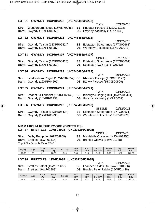| Sire:<br>Dam:     |                     | Wedderburn Rogue (16WNY02657) SS: Rhaeadr Popeye (15XXK01122)<br>Gwyndy (16XPR04250) |  | <b>TWIN</b><br><b>DS:</b> Gwyndy Kadinsky (1XPR0032)                                                 | 07/12/2018 |
|-------------------|---------------------|--------------------------------------------------------------------------------------|--|------------------------------------------------------------------------------------------------------|------------|
| LOT 32            |                     | GWYNDY 19XPR07211 (UK0745485/07211)                                                  |  |                                                                                                      |            |
| Sire:<br>Dam:     | Gwyndy (17XPR05287) | Gwyndy Telstar (18XPR06424)                                                          |  | <b>TWIN</b><br><b>SS:</b> Edstaston Sotogrande (17TG00661)<br>DS: Wernfawr Rokocoko (16XEV00971)     | 03/12/2018 |
| LOT <sub>33</sub> |                     | GWYNDY 19XPR07307 (UK0745485/07307)                                                  |  |                                                                                                      |            |
| Sire:<br>Dam:     | Gwyndy (15XPR03259) | Gwyndy Telstar (18XPR06424)                                                          |  | SINGLE<br><b>SS:</b> Edstaston Sotogrande (17TG00661)<br><b>DS:</b> Edstaston Kwik Fix (1TG0013)     | 07/01/2019 |
| LOT 34            |                     | GWYNDY 19XPR07289 (UK0745485/07289)                                                  |  |                                                                                                      |            |
| Sire:<br>Dam:     |                     | Wedderburn Rogue (16WNY02657) SS: Rhaeadr Popeye (15XXK01122)<br>Gwyndy (16XPR04269) |  | <b>TWIN</b><br>DS: Banwy Picasso (15XXS00509)                                                        | 30/12/2018 |
| <b>LOT 35</b>     |                     | GWYNDY 19XPR07271 (UK0745485/07271)                                                  |  |                                                                                                      |            |
| Sire:<br>Dam:     | Gwyndy (14XPR02738) | Padest Sir Lancelot (17XRH02140)                                                     |  | <b>TWIN</b><br><b>SS:</b> Bronwydd Raging Bull (16WAJ00461)<br><b>DS:</b> Gwyndy Kadinsky (1XPR0032) | 23/12/2018 |
| LOT36             |                     | GWYNDY 19XPR07203 (UK0745485/07203)                                                  |  |                                                                                                      |            |
| Sire:             |                     | Gwyndy Telstar (18XPR06424)                                                          |  | <b>SINGLE</b><br><b>SS:</b> Edstaston Sotogrande (17TG00661)                                         | 02/12/2018 |

**Dam:** Gwyndy (17XPR05295) **DS:** Wernfawr Rokocoko (16XEV00971)

#### **MR & MRS M RUSHBROOKE (BRETTLES) LOT 37 BRETTLES 19WF03028 (UK0302256/03028)**

**LOT 31 GWYNDY 19XPR07238 (UK0745485/07238)** 

**Dam:** Brettles (15WF01414) **DS:** Brettles Ottawa (14WF01148) Top 25% Growth Rate EBV

SINGLE 19/12/2018 **Sire:** Dalby Rumpole (16PE04909) **SS:** Micklehills Odyssey (14ZWA03356)

| Adj Wat | Age | Scan<br>Wat | Mscle<br>Dep | Fat Dep | 9 Wk<br>EBV | Scan<br>EBV                       | Mscl<br>EBV<br>Dpt | <b>Fat Dpt</b><br><b>EBV</b> | Gigot<br><b>EBV</b> | <b>INDEX</b><br>EBV |
|---------|-----|-------------|--------------|---------|-------------|-----------------------------------|--------------------|------------------------------|---------------------|---------------------|
| 29.90   | 98  | EO.<br>ు∠   | 26.33        | 3.93    | 2.36        | $\overline{4}$<br>$\sim$<br>ັບ. . | 0.10               | $\sim$<br>U.J1               | U.15<br>-1          | 205.90              |

#### **LOT 38 BRETTLES 19WF02985 (UK0302256/02985)**

TWIN 04/12/2018 **Sire:** Brettles Patriot (15WF01487) **SS:** Loanhead Odds On (14WNC10006) **Dam:** Brettles (16WF01888) **DS:** Brettles Peter Rabbit (15WF01438)

| Adj Wgt | Age     | Scan<br>Wat | Mscle<br>Dep | Dep<br>็at | 8 Wk<br>EB\ | Scan<br>EBV | Mscl<br><b>EBV</b><br>Dpt | $=$ at<br>D <sub>pt</sub><br>EBV | Gigot<br>EB <sub>V</sub> | <b>INDEX</b><br>EBV |
|---------|---------|-------------|--------------|------------|-------------|-------------|---------------------------|----------------------------------|--------------------------|---------------------|
| 26.90   | 10<br>N | 45          | 30.01        | פפי<br>ں س | . 69        | 3.47        | ں ا                       | $-0.34$                          | .62                      | 169.01              |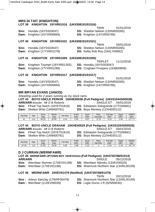#### **MRS DI TAIT (KNIGHTON) LOT 39 KNIGHTON 19YXR01516 (UK0308191/01516)**

TWIN 01/01/2019

**Sire:** Honddu (16YSS03047) **SS:** Sheldon Nelson (13XNR00265)

**Dam:** Knighton (15YXR00894) **DS:** Knighton (14YXR00785)

### **LOT 40 KNIGHTON 19YXR01531 (UK0308191/01531)**

|                                   | TWIN                                   | 03/01/2019 |
|-----------------------------------|----------------------------------------|------------|
| Sire: Honddu (16YSS03047)         | <b>SS:</b> Sheldon Nelson (13XNR00265) |            |
| <b>Dam:</b> Knighton (17YXR01278) | <b>DS:</b> Kelby Rob Roy (16XLY00662)  |            |

#### **LOT 41 KNIGHTON 19YXR01505 (UK0308191/01505)**

**Sire:** Knighton Triumph (18YXR01355) **SS:** Honddu (16YSS03047) **Dam:** Knighton (17YXR01299) **DS:** Crogham Prospero (15AB00856)

TRIPLET 11/12/2018

#### **LOT 42 KNIGHTON 19YXR01517 (UK0308191/01517)**

#### TWIN 01/01/2019 **Sire:** Honddu (16YSS03047) **SS:** Sheldon Nelson (13XNR00265) **Dam:** Knighton (15YXR00894) **DS:** Knighton (14YXR00785)

#### **MR BRYAN EVANS (JANOS)**

*Shearling used for 2 years running as my stock rams.* 

**LOT 43 BOYO UNCLE PERKIN 19XHE00538 (Full Pedigree) (UK0310443/00538) ARR/ARR** *Breeder : Mr D B Roberts* SINGLE-ET 04/01/2019 **Sire:** Ffrwd Top Notch (18YET01819) **SS:** Edstaston Sotogrande (17TG00661) **Dam:** Skelton Whin (14NN00781) **DS:** Boyo Monkey (12XHE00112)

| Adi Wat | Age       | Scan<br>Wat | Mscle<br>Dep | Fat Dep        | 3 Wk<br>EBV      | Scan<br><b>EBV</b> | Mscl<br>EBV<br>Dpt | Fat<br>Dpt<br>EBV | Gigot<br><b>EBV</b> | <b>INDEX</b><br>EBV |
|---------|-----------|-------------|--------------|----------------|------------------|--------------------|--------------------|-------------------|---------------------|---------------------|
|         | 10<br>. L | 68.20       | 30.90        | $\sim$<br>4.25 | <b>EE</b><br>ں ن | 6.67               | $-0.78$            | $-0.51$           | $\sim$<br>.92       | 1777<br>$\cdot$     |

#### **LOT 44 BOYO UNCLE GRAHAM 19XHE00529 (Full Pedigree) (UK0310443/00529)**

**ARR/ARR** *Breeder : Mr D B Roberts* SINGLE-ET 03/01/2019 **Dam:** Skelton Whin (14NN00781) **DS:** Boyo Monkey (12XHE00112)

**Sire:** Ffrwd Top Notch (18YET01819) **SS:** Edstaston Sotogrande (17TG00661)

| Adj Wat          | Age             | Scan<br>Wat | Mscle<br>Dep | Fat Dep | 8 Wk<br>EBV | Scan<br>EBV | Mscl<br>EBV<br>Dpt | Fat<br>Dpt<br>EBV | Gigot<br><b>EBV</b> | <b>INDEX</b><br>EBV |
|------------------|-----------------|-------------|--------------|---------|-------------|-------------|--------------------|-------------------|---------------------|---------------------|
| .30<br>77<br>، ب | $\Delta$<br>ن ا | .80<br>67   | 29.30        | 5.80    | 98.         | 5.23        |                    | 0.19              | $\Omega$<br>دد.     | 147.74              |

#### **D J CURRAN (WERNFAWR)**

#### **LOT 45 WERNFAWR UPTOWN BOY 19XEV01514 (Full Pedigree) (UK0720768/01514) ARR/ARR** SINGLE 05/12/2018

**Sire:** Wernfawr Stormer (17XEV01199) **SS:** Wernfawr Nijinsky (13XEV00525)

**Dam:** Wernfawr (17XEV01168) **DS:** Shamrock Northern Star (13XRL00159)

#### **LOT 46 WERNFAWR 19XEV01479 (Notified) (UK0720768/01479)**

**Sire :** Arbryn SamJay (17WRF00479) **SS:** Shamrock Northern Star (13XRL00159) **Dam :** Wernfawr (11XEV00039) **DS:** Logie Durno J R (0ZNN9030)

- TWIN 03/12/2018
-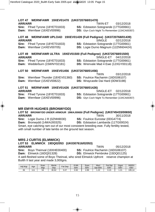### **Dam:** Wernfawr (16XEV00996) **DS:** Glyn Coch Night To Remember (13XCA00357) **LOT 48 WERNFAWR UPLOAD 19XEV01439 (Full Pedigree) (UK0720768/01439) ARR/ARR** SINGLE 02/12/2018 **Sire:** Ffrwd Tyrone (18YET01833) **SS:** Edstaston Sotogrande (17TG00661)

**Dam:** Wernfawr (14XEV00705) **DS:** Logie Durno Magnum (12ZNN04424)

#### **LOT 49 WERNFAWR ULTRA 19XEV01500 (Full Pedigree) (UK0720768/01500) ARR/ARR** SINGLE-ET 04/12/2018

**Sire:** Ffrwd Tyrone (18YET01833) **SS:** Edstaston Sotogrande (17TG00661) **Dam:** Wedderburn (15WNY02181) **DS:** Wrenvale Mad 4 Ewe (12XGY00118)

#### **LOT 50 WERNFAWR 19XEV01456 (UK0720768/01456)**

**Sire:** Wernfawr Thunder (18XEV01360) **Dam:** Wernfawr (15XEV00822) **DS:** Wraycastle Dai Hard (0DW3198)

TWIN 03/12/2018<br>**SS:** Foulrice Rachamin (16DG06107)

|                | LOT 51 WERNFAWR 19XEV01426 (UK0720768/01426) |                                                     |  |  |  |  |
|----------------|----------------------------------------------|-----------------------------------------------------|--|--|--|--|
| <b>ARR/ARR</b> |                                              | SINGLE-ET 02/12/2018                                |  |  |  |  |
|                | <b>Sire:</b> Ffrwd Tyrone (18YET01833)       | <b>SS: Edstaston Sotogrande (17TG00661)</b>         |  |  |  |  |
|                | <b>Dam:</b> Wernfawr (16XEV00996)            | <b>DS:</b> Glyn Coch Night To Remember (13XCA00357) |  |  |  |  |

#### **MR EMYR HUGHES (BRONWYDD)**

#### **LOT 52 BRONWYDD UNDER ARMOUR 19WAJ00650 (Full Pedigree) (UK0745433/00650) ARR/ARR** TWIN 30/11/2018 **Sire:** Logie Durno J R (0ZNN9030) **SS:** Foulrice Eurostar (0DG4774) **Dam:** Bronwydd (14WAJ00325) **DS:** Edstaston Lambarda (11TG00024) Smart, eye catching ram out of our most consistent breeding ewe. Fully fertility tested, with small number of late lambs on the ground last season.

#### **MRS J CURTIS (ELMWICK)**

#### **LOT 53 ELMWICK 19DQ02053 (UK0307616/02053) ARR/ARR** TWIN 05/12/2018

**Sire:** Boyo Theinval (18XHE00400) **SS:** Foulrice Rachamin (16DG06107) **Dam:** Elmwick (16DQ01328) **DS:** Elmwick Pembroke (15DQ01125)

A well-fleshed some of Boyo Theinval, who sired Elmwick Upfront reserve champion at Builth II last year and made 3,000gns.

| Adj Wgt | Age            | Scan<br>Wat | Mscle<br>Dep | Fat Dep | 3 Wk<br>EBV | Scan<br>EBV | Mscl<br>EBV<br>Dpt | Fat Dpt<br>EBV         | Gigot<br>EB\   | <b>INDEX</b><br>EBV |
|---------|----------------|-------------|--------------|---------|-------------|-------------|--------------------|------------------------|----------------|---------------------|
| 36      | $\overline{A}$ | 54          | 30.62        | 5.07    | 0.92        | 2.89        | $\sim$<br>ے۔       | $\overline{a}$<br>U.15 | $\sim$<br>ے. ا | 195.14              |

#### **LOT 47 WERNFAWR 19XEV01470 (UK0720768/01470) ARR/ARR** TWIN-ET 03/12/2018

**Sire:** Ffrwd Tyrone (18YET01833) **SS:** Edstaston Sotogrande (17TG00661)

- 
- 
-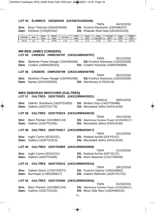#### **LOT 54 ELMWICK 19DQ02046 (UK0307616/02046)**

TWIN 04/12/2018 **Sire:** Boyo Theinval (18XHE00400) **SS:** Foulrice Rachamin (16DG06107) **Dam:** Elmwick (17DQ01632) **DS:** Rhaeadr Real Deal (16XXK01418)

 $SINCI E$  08/01/2019

| Adi Wat | Age             | Scan<br>Wat | Mscle<br>Dep | $at$<br>Dep       | <b>9 Wk</b><br>EBV | Scan<br><b>EBV</b> | Mscl<br><b>EBV</b><br>Dpt | Fat Dpt<br>EBV | Gigot<br>EBV | <b>INDEX</b><br>EBV |
|---------|-----------------|-------------|--------------|-------------------|--------------------|--------------------|---------------------------|----------------|--------------|---------------------|
| 28.30   | $\sqrt{2}$<br>▵ | 48          | 29.06        | 70<br>Δ<br>1. I J | .02                | 70<br><u>.</u>     | 0.39                      | 0.61           | 0.81         | '75.51              |

#### **MR BEN JAMES (CINDERS)**

**LOT 55 CINDERS 19WRZ00797 (UK0314800/00797)** 

TWIN 05/12/2018 **Sire:** Mortimer Power Ranger (15HH03438) **SS:**Foulrice Notorious (13DG03290) **Dam:** Cinders (16WRZ00163) **DS:** Cinders Panache (15WRZ00089)

#### **LOT 56 CINDERS 19WRZ00799 (UK0314800/00799)**

TWIN 06/12/2018 **Sire:** Mortimer Power Ranger (15HH03438) **SS:**Foulrice Notorious (13DG03290) **Dam:** Banwy (15XXS00552) **DS:** Aberkinsey (1YBJ0116)

#### **MRS DEBORAH WHITCHER (GALTRES)**

#### **LOT 57 GALTRES 19ZKT03031 (UK0129994/03031)**

|                                             | <b>SIINGLE</b><br><b>UO/UT/ZUTY</b>    |  |
|---------------------------------------------|----------------------------------------|--|
| <b>Sire:</b> Galtres Rockforce (16ZKT01853) | <b>SS:</b> Wotton Onyx (14ZVT00486)    |  |
| <b>Dam:</b> Galtres (16ZKT01774)            | <b>DS:</b> Mountsted Jethro (0XHL9100) |  |

#### **LOT 58 GALTRES 19ZKT03019 (UK0129994/03019)**

|                                        | TWIN                                             | 29/12/2018 |
|----------------------------------------|--------------------------------------------------|------------|
| <b>Sire:</b> Banc Pioneer (15XXB01124) | <b>SS:</b> Aberkinsey Nuclear Power (13YBJ00517) |            |
| <b>Dam:</b> Galtres (15ZKT01391)       | <b>DS:</b> Mountsted Jethro (0XHL9100)           |            |

#### **LOT 59 GALTRES 19ZKT02917 (UK0129994/02917)**

TWIN 20/12/2018 **Sire:** Inglis Cymro (0CN2151) **SS:** Rutland Archie (0ZFY0137) **Dam:** Galtres (15ZKT01513) **DS:** Mountsted Jethro (0XHL9100)

#### **LOT 60 GALTRES 19ZKT02969 (UK0129994/02969)**

| 21/12/2018                            |
|---------------------------------------|
|                                       |
|                                       |
| <b>DS:</b> Wern Maverick (12XZT00039) |
|                                       |

#### **LOT 61 GALTRES 19ZKT03015 (UK0129994/03015)**

|                                         | TWIN                                     | 28/12/2018 |
|-----------------------------------------|------------------------------------------|------------|
| <b>Sire:</b> Galtres Storm (17ZKT02071) | <b>SS:</b> Foulrice Osprey (14DG04650)   |            |
| <b>Dam:</b> Burnhope (17WED00017)       | <b>DS:</b> Galtres Reformer (16ZKT01722) |            |

#### **LOT 62 GALTRES 19ZKT03046 (UK0129994/03046)**

**Sire:** Banc Pioneer (15XXB01124) **SS:** Aberkinsey Nuclear Power (13YBJ00517) **Dam:** Galtres (15ZKT01532) **DS:** Moss Side Nero (13ZRN00225)

- TWIN 01/03/2019
-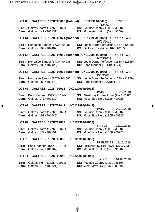| <b>LOT 63</b><br>GALTRES 19ZKT03006 (Notified) (UK0129994/03006)       | <b>TRIPLET</b><br>27/12/2018                                                                          |
|------------------------------------------------------------------------|-------------------------------------------------------------------------------------------------------|
| Sire: Galtres Storm (17ZKT02071)                                       | SS: Foulrice Osprey (14DG04650)                                                                       |
| <b>Dam: Galtres (14ZKT01131)</b>                                       | DS: Mountsted Jethro (0XHL9100)                                                                       |
| <b>LOT 64</b>                                                          | GALTRES 19ZKT03071 (Notified) (UK0129994/03071) ARR/ARR TWIN<br>15/03/2019                            |
| Sire: Hundalee Sandor (17XMP04086)<br><b>Dam: Galtres (18ZKT02402)</b> | SS: Logie Durno Perfection (15ZNN12369)<br>DS: Galtres Rockforce (16ZKT01853)                         |
| <b>LOT 65</b>                                                          | GALTRES 19ZKT03059 (Notified) (UK0129994/03059) ARR/ARR TWIN<br>14/03/2019                            |
| Sire: Hundalee Sandor (17XMP04086)<br><b>Dam: Galtres (18ZKT02428)</b> | SS: Logie Durno Perfection (15ZNN12369)<br>DS: Banc Pioneer (15XXB01124)                              |
| <b>LOT 66</b>                                                          | GALTRES 19ZKT03066 (Notified) (UK0129994/03066) ARR/ARR TWIN<br>15/03/2019                            |
| Sire: Hundalee Sandor (17XMP04086)<br><b>Dam: Galtres (18ZKT02440)</b> | SS: Logie Durno Perfection (15ZNN12369)<br>DS: Banc Pioneer (15XXB01124)                              |
| <b>LOT 67</b><br>GALTRES 19ZKT02915 (UK0129994/02915)                  | TWIN<br>19/12/2018                                                                                    |
| Banc Pioneer (15XXB01124)<br>Sire:<br>Galtres (17ZKT02239)<br>Dam:     | SS: Aberkinsey Nuclear Power (13YBJ00517)<br>DS: Moss Side Nero (13ZRN00225)                          |
| <b>LOT 68</b><br>GALTRES 19ZKT02942 (UK0129994/02942)                  |                                                                                                       |
| Sire:<br>Galtres Storm (17ZKT02071)<br>Galtres (15ZKT01546)<br>Dam:    | TWIN<br>20/12/2018<br>SS: Foulrice Osprey (14DG04650)<br>DS: Moss Side Nero (13ZRN00225)              |
| GALTRES 19ZKT02889 (UK0129994/02889)<br>LOT 69                         |                                                                                                       |
| Galtres Storm (17ZKT02071)<br>Sire:<br>Galtres (17ZKT02151)<br>Dam:    | <b>SINGLE</b><br>18/12/2018<br>SS: Foulrice Osprey (14DG04650)<br>DS: Moss Side Nero (13ZRN00225)     |
| <b>LOT 70</b><br>GALTRES 19ZKT02858 (UK0129994/02858)                  |                                                                                                       |
| Banc Pioneer (15XXB01124)<br>Sire:<br>Galtres (14ZKT01162)<br>Dam:     | TRIPLET-ET 12/12/2018<br>SS: Aberkinsey Nuclear Power (13YBJ00517)<br>DS: Mountsted Jethro (0XHL9100) |
| LOT 71 GALTRES 19ZKT03048 (UK0129994/03048)                            |                                                                                                       |
| Galtres Storm (17ZKT02071)<br>Sire:<br>Galtres (17ZKT02121)<br>Dam:    | <b>SINGLE</b><br>01/03/2019<br>SS: Foulrice Osprey (14DG04650)<br>DS: Wern Maverick (12XZT00039)      |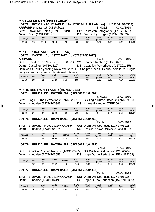#### **MR TOM NEWTH (PRESTLEIGH)**

**LOT 72 BOYO UNTOUCHABLE 19XHE00534 (Full Pedigree) (UK0310443/00534)** 

**ARR/ARR** *Breeder : Mr D B Roberts* SINGLE 03/01/2019

**Sire:** Ffrwd Top Notch (18YET01819) **SS:** Edstaston Sotogrande (17TG00661) **Dam:** Boyo (14XHE00140) **DS:** Bachymbyd Logan (11YMH00483)

|         |                       |             |              |         |                    |                    |                                   |                   | .                   |                     |
|---------|-----------------------|-------------|--------------|---------|--------------------|--------------------|-----------------------------------|-------------------|---------------------|---------------------|
| Adj Wgt | Age                   | Scan<br>Wat | Mscle<br>Dep | Fat Dep | 3 Wk<br><b>EBV</b> | Scan<br><b>EBV</b> | Mscl<br>EBV<br>Dpt                | Dpt<br>Fat<br>EBV | Gigot<br><b>EBV</b> | <b>INDEX</b><br>EBV |
| 37.50   | $\overline{A}$<br>ن ا | 66.40       | 31.10        | 4.10    | . 88               | 4.97               | $\overline{\phantom{a}}$<br>-v. 1 | $-0.58$           | 0.44                | 147.99              |

#### **MR T L PRICHARD (CASTELLAU)**

#### **LOT 73 CASTELLAU 19TZ02677 (UK0726270/02677) ARR/ARR** TWIN 10/01/2019 **Sire:** Sheldon Top Notch (18XNR00921) **SS:** Foulrice Rechab (16DG06467)

**Dam:** Castellau (16TZ01322) **DS:** Castellau Powerhouse (15TZ01115)

Dam was 4<sup>th</sup> prize yearling Royal Welsh 2017. She produced U Beauty, sold for 2,200gns last year and also ram lamb retained this year.

| Adi Wat | Age | Scan<br>Wat | Mscle<br>Dep | Fat<br>Dep        | 3 Wk<br><b>EBV</b> | Scan<br><b>EBV</b> | Mscl<br>EBV<br>Dpt | Fat<br>Dpt<br>EBV | Gigot<br><b>EBV</b> | <b>INDEX</b><br>EBV |
|---------|-----|-------------|--------------|-------------------|--------------------|--------------------|--------------------|-------------------|---------------------|---------------------|
| 32.10   | 105 | 52          | 27.29        | 70<br><b>4.15</b> | 2.80               | 152<br>.ບວ         | ה ה<br>-u.sz       | 0.48              | 0.04                | 220.96              |

#### **MR ROBERT WHITTAKER (HUNDALEE) LOT 74 HUNDALEE 19XMP04262 (UK0561914/04262)**

**Sire:** Logie Durno Perfection (15ZNN12369) **SS:** Logie Durno Officer (14ZNN09810) **Dam:** Hundalee (12XMP00343) **DS:** Arjane Galimoto (0ZRF6064)

SINGLE 15/03/2019

| Adi Wat | Age | Scan<br>Wat   | Mscle<br>Dep | Fat<br>Dep | 8 Wk<br><b>EBV</b> | Scan<br>EBV | Mscl<br>EB\<br>Dpt | Dpt<br>Fat<br>EBV | Gigot<br><b>EBV</b> | <b>INDEX</b><br>EBV |
|---------|-----|---------------|--------------|------------|--------------------|-------------|--------------------|-------------------|---------------------|---------------------|
| 29.30   | 74  | $\sim$<br>ו ס | 30.83<br>20  | 4.70       | .80                | 4.16        | 0.09               | 0.37              | 0.24                | 186.37              |

#### **LOT 75 HUNDALEE 19XMP04263 (UK0561914/04263)**

**Sire:** Bronwydd Torpedo (18WAJ00584) **SS:** Wernfawr Spartacus (17XEV01125) **Dam:** Hundalee (17XMP04074) **DS:** Knockin Russian Roulette (16XXJ00277)

TWIN 15/03/2019

| Adj Wgt | Age        | Scan<br>Wat | Mscle<br>Dep    | Fat<br>Dep | ९ Wk<br><b>EBV</b> | Scan<br>EBV | Mscl<br><b>EBV</b><br>Dpt | $F$ at Dpt<br>EBV        | Gigot<br>EBV | <b>INDEX</b><br><b>EBV</b> |
|---------|------------|-------------|-----------------|------------|--------------------|-------------|---------------------------|--------------------------|--------------|----------------------------|
| 23.80   | 172<br>ن ، | 65          | 31.98<br>$\sim$ | 5.25       | .38                | 3.95        | 0.15                      | $\sim$ 4 $\sim$<br>U. 13 | 0.05<br>-    | 184.08                     |

#### **LOT 76 HUNDALEE 19XMP04287 (UK0561914/04287)**

SINGLE 21/03/2019 **Sire:** Knockin Russian Roulette (16XXJ00277) **SS:**Rainbow Lindisfarne (11XPU00684) **Dam:** Hundalee (16XMP03653) **DS:** Logie Durno Perfection (15ZNN12369)

| Adj Wgt | Age | Scan<br>Wat | Mscle<br>Dep | $-a+$<br>Dep<br>άι | 8 Wk<br><b>EBV</b> | Scan<br>EBV | Mscl<br>EBV<br><b>D</b> pt | $at$ Dpt<br><b>EBV</b> | Gigot<br>EBV | <b>INDEX</b><br>EBV |
|---------|-----|-------------|--------------|--------------------|--------------------|-------------|----------------------------|------------------------|--------------|---------------------|
|         | 167 | 57          | 33.02        | 4.46               | 0.08               | $-0.66$     | 1.70                       | 0.49                   | . .30        | 168.29              |

#### **LOT 77 HUNDALEE 19XMP04314 (UK0561914/04314)**

**Sire:** Bronwydd Torpedo (18WAJ00584) **SS:** Wernfawr Spartacus (17XEV01125)

TWIN 05/04/2019

**Dam:** Hundalee (18XMP04190) **DS:** Logie Durno Perfection (15ZNN12369)

| Adi Wat | Age | Scan<br>Wat | Mscle<br>Dep | Fat Dep | 3 Wk<br><b>EBV</b> | Scan<br><b>EBV</b> | Mscl<br>Dpt EBV | Fat Dpt<br>EBV | Gigot<br><b>EBV</b> | <b>INDEX</b><br>EBV |
|---------|-----|-------------|--------------|---------|--------------------|--------------------|-----------------|----------------|---------------------|---------------------|
| 26.90   | 152 | 60          | 30.10        | 5.40    | 2.19               | 5.85               | 0.29            | 0.46           | $-0.07$             | 222.74<br>220.1     |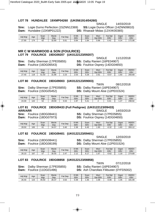#### **LOT 78 HUNDALEE 19XMP04260 (UK0561914/04260)**

**Sire:** Logie Durno Perfection (15ZNN12369) **SS:** Logie Durno Officer (14ZNN09810) **Dam:** Hundalee (13XMP01222) **DS:** Rhaeadr Midas (12XXK00365)

SINGLE 14/03/2019

| Adi Wat | Age | Scan<br>Wat  | Mscle<br>Dep    | Fat Dep       | 3 Wk<br>EBV | Scan<br><b>EBV</b> | Mscl<br>EBV<br>Dpt | $E^{\sim +}$<br>Dpt<br>άι<br>EBV | Gigot<br><b>EBV</b> | <b>INDEX</b><br>EBV |
|---------|-----|--------------|-----------------|---------------|-------------|--------------------|--------------------|----------------------------------|---------------------|---------------------|
| 27.90   | 74  | $\sim$<br>οz | $\sim$<br>32.80 | $\sim$<br>O.C | 0.84        | .84                | 0.96               | 0.42                             | J.24                | 172.08              |

#### **MR C W MARWOOD & SON (FOULRICE) LOT 79 FOULRICE 19DG09207 (UK0122123/09207)**

**Sire:** Dalby Sherman (17PE05855) **Dam:** Foulrice (16DG06543)

SINGLE 11/12/2018<br>**SS:** Dalby Ranieri (16PE04907)

| <b>DS:</b> Foulrice Osprey (14DG04650) |  |
|----------------------------------------|--|
|                                        |  |

| Adi Wat | Age | Scan<br>Wgt | Mscle<br>Dep | $Fat$ Dep      | <b>9 Wk</b><br><b>EBV</b> | Scan<br><b>EBV</b> | Mscl<br>EBV<br>Dpt | Fat Dpt<br>EBV | Gigot<br><b>EBV</b> | <b>INDEX</b><br><b>EBV</b> |
|---------|-----|-------------|--------------|----------------|---------------------------|--------------------|--------------------|----------------|---------------------|----------------------------|
| 27.40   | 119 | 51.50       | 31.88        | $\sim$<br>د.∠. | 2.03                      | 5.29               | $2.6^{\circ}$      | $-0.57$        | . .93               | 293.69                     |

#### **LOT 80 FOULRICE 19DG09003 (UK0122123/09003)**

**Sire:** Dalby Sherman (17PE05855) **SS:** Dalby Ranieri (16PE04907) **Dam:** Foulrice (15DG05452) **DS:** Dalby Mount Aloe (12PE01524)

TWIN 08/12/2018

| Adj Wgt | Age        | Scan<br>Wat | Mscle<br>Dep | Fat.<br>Dep | 8 Wk<br>EBV | Scan<br>EBV         | Mscl<br>Dot<br>EBV | $F$ at Dpt<br>EBV | Gigot<br>EB١   | <b>INDEX</b><br><b>EBV</b> |
|---------|------------|-------------|--------------|-------------|-------------|---------------------|--------------------|-------------------|----------------|----------------------------|
| 24.30   | ר ר<br>ے ا | E O<br>52   | 29.59        | 5.53        | . 97        | $\overline{ }$<br>ັ |                    | 4<br>∪.¬          | $\sim$<br>⁄ ∠… | 298.92                     |

#### **LOT 81 FOULRICE 19DG09433 (Full Pedigree) (UK0122123/09433)**

**ARR/ARR** SINGLE 14/03/2019 **Sire:** Foulrice (18DG08441) **SS:** Dalby Sherman (17PE05855) **Dam:** Foulrice (18DG07973) **DS:** Foulrice Osprey (14DG04650)

| Adj Wat | Age | Scan<br>Wat    | <b>Mscle</b><br>Dep | Dep<br>⊺at | 8 Wk<br><b>EBV</b> | Scan<br>EBV | Mscl<br>Dpt<br>EBV | Fat Dpt<br>EBV | Gigot<br>EB\ | <b>INDEX</b><br><b>EBV</b> |
|---------|-----|----------------|---------------------|------------|--------------------|-------------|--------------------|----------------|--------------|----------------------------|
| 28.50   | 165 | $\mathbf{o}$ . | 34.57               | 3.40       | 2.38               | 6.45        | . 93. ،            | $-0.32$        | .83،         | 283.12                     |

#### **LOT 82 FOULRICE 19DG09401 (UK0122123/09401)**

SINGLE 12/03/2019 **Sire:** Foulrice (18DG08441) **SS:** Dalby Sherman (17PE05855) **Dam:** Foulrice (18DG08199) **DS:** Dalby Mount Aloe (12PE01524)

| Adi Wat | Age | Scan<br>Wat | Mscle<br>Dep | $F$ at Dep                       | 3 Wk<br>EBV             | Scan<br><b>EBV</b>  | Mscl<br>EBV<br>Dpt | Fat<br>Dpt<br><b>EBV</b> | Gigot<br><b>EBV</b> | <b>INDEX</b><br>EBV |
|---------|-----|-------------|--------------|----------------------------------|-------------------------|---------------------|--------------------|--------------------------|---------------------|---------------------|
| 26.10   | 167 | $-$         | 30.55<br>20  | $\overline{\phantom{a}}$<br>$-1$ | $\overline{A}$<br>ے ، ے | $\rightarrow$<br>◡. | $\sim$<br>، O      | $-0.62$                  | . 19.               | 274.89              |

#### **LOT 83 FOULRICE 19DG08858 (UK0122123/08858)**

**Sire:** Dalby Sherman (17PE05855) **SS:** Dalby Ranieri (16PE04907) **Dam:** Foulrice (11DG01496) **DS:** Ash Charollais Filibuster (0YFD5002)

| Adj Wgt | Aqe | Scan<br>Wgt | Mscle<br>Dep | Dec<br>-at | 8 Wk<br><b>EBV</b> | Scan<br>EBV | Mscl<br>Dpt<br><b>EBV</b> | <b>Fat Dpt</b><br>EBV | Gigot<br><b>EBV</b> | <b>INDEX</b><br><b>EBV</b> |
|---------|-----|-------------|--------------|------------|--------------------|-------------|---------------------------|-----------------------|---------------------|----------------------------|
| 26.40   | 23  | 45.50       | 26.37        | 3.63       | 0.39               | 25<br>. ن ب | .08                       | $-0.06$               | . .35               | 181.09                     |

TWIN 07/12/2018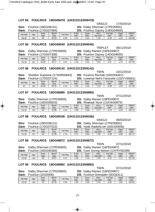#### **LOT 84 FOULRICE 19DG09478 (UK0122123/09478)**

**Sire:** Foulrice (18DG08131) **SS:** Dalby Sherman (17PE05855) **Dam:** Foulrice (17DG07084) **DS:** Foulrice Osprey (14DG04650)

| <b>Dam:</b> |     | FOUINCE (17DGU7084) |              | :כט<br>FOUINCE OSDIEV (14DG04650) |             |                    |                 |                |              |                            |  |  |
|-------------|-----|---------------------|--------------|-----------------------------------|-------------|--------------------|-----------------|----------------|--------------|----------------------------|--|--|
| Adj Wgt     | Age | Scan<br>Wat         | Mscle<br>Dep | $F$ at Dep                        | 8 Wk<br>EBV | Scan<br><b>EBV</b> | Mscl<br>Dot EBV | Fat Dpt<br>EBV | Gigot<br>EBV | <b>INDEX</b><br><b>EBV</b> |  |  |
| 28.40       | 162 | 56                  | 28.69        | 2.50                              | 2.14        | 5.22               | .48             | $-0.42$        | 1.22<br>دد.  | 242.68                     |  |  |

#### **LOT 85 FOULRICE 19DG09040 (UK0122123/09040)**

TRIPLET 09/12/2018

TWIN 10/12/2018

SINGLE 17/03/2019

**Sire:** Dalby Sherman (17PE05855) **SS:** Dalby Ranieri (16PE04907)

| Dam:    |     | Foulrice (17DG07308) |              | DS:<br>Foulrice Osprey (14DG04650) |             |                    |                 |                              |                     |                     |  |
|---------|-----|----------------------|--------------|------------------------------------|-------------|--------------------|-----------------|------------------------------|---------------------|---------------------|--|
| Adj Wgt | Age | Scan<br>Wat          | Mscle<br>Dep | Fat Dep                            | 8 Wk<br>EBV | Scan<br><b>EBV</b> | Mscl<br>Dpt EBV | <b>Fat Dpt</b><br><b>EBV</b> | Gigot<br><b>EBV</b> | <b>INDEX</b><br>EBV |  |
| 25.10   | 121 | 46.50                | 29.17        | 3.97                               | 1.19        | 3.02               | 2.03            | 0.31                         | . 70                | 247.93              |  |

#### **LOT 86 FOULRICE 19DG09142 (UK0122123/09142)**

**Sire:** Sheldon Supreme (17XNR00843)

|     |  |  | <b>SS:</b> Foulrice Rechab (16DG06467) |                            |
|-----|--|--|----------------------------------------|----------------------------|
| - - |  |  |                                        | $\cdots$ $\cdots$ $\cdots$ |

| Dam:    |     | Foulrice (17DG07124) |              |         |                    |                    |                        | <b>DS:</b> Lowerve Neil's Favourite (13ZVY00661) |                     |                     |
|---------|-----|----------------------|--------------|---------|--------------------|--------------------|------------------------|--------------------------------------------------|---------------------|---------------------|
| Adj Wat | Age | Scan<br>Wat          | Mscle<br>Dep | Fat Dep | 8 Wk<br><b>EBV</b> | Scan<br><b>EBV</b> | <b>Mscl</b><br>Dot EBV | Fat Dpt<br>EBV                                   | Gigot<br><b>EBV</b> | <b>INDEX</b><br>EBV |
| 22      | 120 | 46.50                | 28.16        | 2.10    | .54                | 4.26               | 1.19                   | $-0.89$                                          | 1.34                | 217.65              |

#### **LOT 87 FOULRICE 19DG08885 (UK0122123/08885)**

|         |     |                                  |                                 |         |                    |                    | 1 V V I I V            |                                      | VIIIZZUIO           |                     |
|---------|-----|----------------------------------|---------------------------------|---------|--------------------|--------------------|------------------------|--------------------------------------|---------------------|---------------------|
|         |     |                                  | Sire: Dalby Sherman (17PE05855) |         |                    |                    |                        | <b>SS: Dalby Ranieri (16PE04907)</b> |                     |                     |
|         |     | <b>Dam:</b> Foulrice (16DG06503) |                                 |         |                    |                    |                        | DS: Rhaeadr Nock (13XXK00879)        |                     |                     |
| Adj Wgt | Age | Scan<br>Wat                      | Mscle<br>Dep                    | Fat Dep | 8 Wk<br><b>EBV</b> | Scan<br><b>EBV</b> | <b>Mscl</b><br>Dot EBV | Fat Dpt<br><b>EBV</b>                | Giaot<br><b>EBV</b> | <b>INDEX</b><br>EBV |
| 23.10   | 123 | 54                               | 33.88                           | 4.33    | 1.98               | 5.68               | 2.47                   | $-0.13$                              | 0.39                | 282.14              |

#### **LOT 88 FOULRICE 19DG09336 (UK0122123/09336)**

SINGLE 08/03/2019

TWIN 07/12/2018

**Sire:** Foulrice (18DG08131) **SS:** Dalby Sherman (17PE05855)

| Dam:    |     | Foulrice (17DG07523) |              |         | DS:         |             |                 | Hyde Radio5Live (16SU00606) |              |                     |
|---------|-----|----------------------|--------------|---------|-------------|-------------|-----------------|-----------------------------|--------------|---------------------|
| Adj Wgt | Age | Scan<br>Wgt          | Mscle<br>Dep | Fat Dep | 8 Wk<br>EBV | Scan<br>EBV | Mscl<br>Dot EBV | <b>Fat Dpt</b><br>EBV       | Gigot<br>EBV | <b>INDEX</b><br>EBV |
| 31.20   | 71  | 64                   | 32.68        | 2.73    | 3.11        | 8.55        | . 99            | $-0.99$                     | 0.98         | 301.27              |

#### **LOT 89 FOULRICE 19DG08872 (UK0122123/08872)**

TWIN 07/12/2018 **Sire:** Dalby Sherman (17PE05855) **SS:** Dalby Ranieri (16PE04907) **DS:** Cwm Dunrig Nelson (13YRY00299)

| -------- | -------- |      | --    |                   | ----   | .    |            |             | ------------ |              |
|----------|----------|------|-------|-------------------|--------|------|------------|-------------|--------------|--------------|
| Adi Wat  | Age      | Scan | Mscle | $E^{\sim}$<br>Dep | 8 Wk   | Scan | Mscl       | Fat Dpt     | Gigot        | <b>INDEX</b> |
|          |          | Wat  | Dep   | άι                | EBV    | EBV  | EBV<br>Dpt | EBV         | <b>EBV</b>   | EBV          |
| 22.60    | 23       | 50   | 29.07 | 2 27<br>، ن.      | . . 59 | +.19 | 1.59       | ົາ<br>-U.S. | .            | 227.05       |

#### **LOT 90 FOULRICE 19DG08892 (UK0122123/08892)**

**Sire:** Dalby Sherman (17PE05855) **SS:** Dalby Ranieri (16PE04907)

**DS:** Foulrice Grenadier (0DG6311)

| -----   | <b></b> | ------      |              |         | ---                  |             |                 |                | . <i>. .</i> |                     |
|---------|---------|-------------|--------------|---------|----------------------|-------------|-----------------|----------------|--------------|---------------------|
| Adj Wgt | Age     | Scan<br>Wgt | Mscle<br>Dep | Fat Dep | $9$ Wk<br><b>EBV</b> | Scan<br>EBV | Mscl<br>Dpt EBV | Fat Dpt<br>EBV | Gigot<br>EBV | <b>INDEX</b><br>EBV |
| 20.20   | 23      | 52          | 30.35        | 2.50    | .60                  | 4.09        | 2.30            | $-0.81$        | .62          | 243.61              |

 $T$ MINI  $07/12/2018$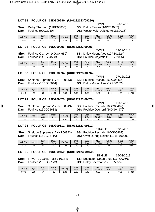#### **LOT 91 FOULRICE 19DG09290 (UK0122123/09290)**

**Sire:** Dalby Sherman (17PE05855) **SS:** Dalby Ranieri (16PE04907) **Dam:** Foulrice (0DG3230) **DS:** Westonvale Jubilee (9XBB9016)

| Adj Wgt | Age | Scan<br>Wat | Mscle<br>Dep    | at Dep      | 3 Wk<br>EBV | Scan<br><b>EBV</b> | Mscl<br>Dpt EBV | Fat Dpt<br><b>EBV</b>                             | Gigot<br><b>EBV</b> | <b>INDEX</b><br><b>EBV</b> |
|---------|-----|-------------|-----------------|-------------|-------------|--------------------|-----------------|---------------------------------------------------|---------------------|----------------------------|
| 26.10   | 174 | 54.50       | 22.21<br>ا في ف | .00<br>د.∠. | 0.75        | ר מ<br>2.32        | າ ດາ<br>2.0     | $\overline{\phantom{a}}$<br>$\cdot$ v. $\prime$ . | 1.62                | 242.62                     |

#### **LOT 92 FOULRICE 19DG09096 (UK0122123/09096)**

**Sire:** Foulrice Osprey (14DG04650) **SS:** Dalby Mount Aloe (12PE01524) **Dam:** Foulrice (14DG04568) **DS:** Foulrice Majestic (12DG02005)

TWIN 09/12/2018

| Adi Wat | Age | Scan<br>Wat | <b>Mscle</b><br>Dep | $F$ at Dep | 3 Wk<br>EBV                       | Scan<br><b>EBV</b> | Mscl<br>EBV<br><b>Dpt</b> | Fat Dpt<br><b>EBV</b> | Gigot<br><b>EBV</b> | <b>INDEX</b><br><b>EBV</b> |
|---------|-----|-------------|---------------------|------------|-----------------------------------|--------------------|---------------------------|-----------------------|---------------------|----------------------------|
| 21.70   | 121 | 44          | 26.03               | 3.90       | $\overline{\phantom{a}}$<br>ັບ. ເ | .42                | $-0.20$                   | $\overline{A}$<br>.   | 1.47                | 165.02                     |

#### **LOT 93 FOULRICE 19DG08894 (UK0122123/08894)**

**Sire:** Sheldon Supreme (17XNR00843) **SS:** Foulrice Rechab (16DG06467) **Dam:** Foulrice (15DG05644) **DS:** Dalby Mount Aloe (12PE01524)

TWIN 07/12/2018

| Adj Wgt | Age | Scan<br>Wat | Mscle<br>Dep | Dep<br>Fat | 3 Wk<br>EBV | Scan<br>EBV | Mscl<br>EBV<br>Dpt | Dpt<br>Fat<br><b>EBV</b> | Gigot<br>EBV | <b>INDEX</b><br>EBV |
|---------|-----|-------------|--------------|------------|-------------|-------------|--------------------|--------------------------|--------------|---------------------|
| 26.40   | 123 | 50          | 29.69        | 3.53       | .05         | 2.80        | 81.،               | 0.46                     | . ت          | 217.25              |

#### **LOT 94 FOULRICE 19DG09475 (UK0122123/09475)**

**Sire:** Sheldon Supreme (17XNR00843) **SS:** Foulrice Rechab (16DG06467) **Dam:** Foulrice (15DG05683) **DS:** Foulrice Overlord (14DG04979)

TWIN 16/03/2019

| Adi Wat | Age | Scan<br>Wat                    | Mscle<br>Dep | $F$ at Dep | 3 Wk<br>EBV | Scan<br><b>EBV</b> | Mscl<br>Dpt EBV | Dpt<br>Fat.<br><b>EBV</b>     | Gigot<br><b>EBV</b> | <b>INDEX</b><br>EBV |
|---------|-----|--------------------------------|--------------|------------|-------------|--------------------|-----------------|-------------------------------|---------------------|---------------------|
| 21.40   | 163 | $\overline{\phantom{0}}$<br>45 | 25           | 2.30       | ე.08        | 0.40               | . 16            | $\overline{A}$<br><b>U.IL</b> | $ -$<br>l .55       | 172.86              |

#### **LOT 95 FOULRICE 19DG09111 (UK0122123/09111)**

**Sire:** Sheldon Supreme (17XNR00843) **SS:** Foulrice Rechab (16DG06467) **Dam:** Foulrice (16DG06710) **DS:** Cwm Dunrig Nelson (13YRY00299)

SINGLE 09/12/2018

| Adj Wgt | Age             | Scan<br>Wat | Mscle<br>Dep | Fat Dep | 3 Wk<br>EBV | Scan<br>EBV | <b>Mscl</b><br>Dpt EBV | $F$ at Dpt<br>EBV | Gigot<br><b>EBV</b> | <b>INDEX</b><br>EBV |
|---------|-----------------|-------------|--------------|---------|-------------|-------------|------------------------|-------------------|---------------------|---------------------|
| 26.70   | 12 <sup>4</sup> | 49          | 28.33        | 2.97    | 0.83        | 2.43        | l.65                   | $-0.64$           | 10<br>ا ت           | 199.91              |

#### **LOT 96 FOULRICE 19DG09450 (UK0122123/09450)**

**Dam:** Foulrice (18DG08173) **DS:** Dalby Sherman (17PE05855)

SINGLE 15/03/2019 **Sire:** Ffrwd Top Dollar (18YET01841) **SS:** Edstaston Sotogrande (17TG00661)

| Adj Wgt | Age | Scan<br>Wat | Mscle<br>Dep | $at$ .<br>Dep | 9 Wk<br>EBV | Scan<br>EBV | Mscl<br>EBV<br><b>D</b> <sub>p</sub> | Fat Dpt<br>EBV | Gigot<br>EB\   | <b>INDEX</b><br><b>EBV</b> |
|---------|-----|-------------|--------------|---------------|-------------|-------------|--------------------------------------|----------------|----------------|----------------------------|
| 30.40   | 164 | --<br>ັ     | 30           | .30           | 2.68        | /.49        | 0.95                                 | 44             | 7 <sup>c</sup> | 248.18                     |

TWIN 05/03/2019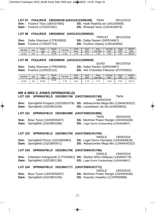**LOT 97 FOULRICE 19DG09109 (UK0122123/09109)** TWIN 09/12/2018 **Sire :** Foulrice Titus (18DG07993) **SS:** Hyde Radio5Live (16SU00606) **Dam :** Foulrice (17DG07461) **DS:** Rhaeadr Nock (13XXK00879)

#### **LOT 98 FOULRICE 19DG09042 (UK0122123/09042)**

**Sire:** Dalby Sherman (17PE05855) **Dam:** Foulrice (17DG07710) **DS:** Foulrice Osprey (14DG04650)

TRIPLET 09/12/2018<br>
SS: Dalby Ranjeri (16PF04907)

| Adi Wat | Age          | Scan<br>Wat | Mscle<br>Dep         | Fat<br>Dep      | 3 Wk<br><b>EBV</b> | Scan<br><b>EBV</b> | Mscl<br>Dpt<br>EBV | <b>Fat Dpt</b><br>EBV | Gigot<br>EB\ | <b>INDEX</b><br><b>EBV</b> |
|---------|--------------|-------------|----------------------|-----------------|--------------------|--------------------|--------------------|-----------------------|--------------|----------------------------|
| 22.20   | 12'<br>ب ے ، | 50          | .95<br>$\sim$<br>. I | 22<br>4<br>+.აა | 70<br>ل ، ، ا      | 4.4                | .38                | 0.10                  | .81          | 256.54                     |

#### **LOT 99 FOULRICE 19DG08939 (UK0122123/08939)**

**Sire:** Dalby Sherman (17PE05855) **Dam:** Foulrice (12DG02122) **DS:** Ash Charollais Filibuster (0YFD5002)

QUAD 08/12/2018<br>**SS:** Dalby Ranieri (16PE04907)

| Adj Wgt | Age | Scan<br>Wgt | Mscle<br>Dep | $F$ at Dep | 8 Wk<br><b>EBV</b> | Scan<br><b>EBV</b> | <b>Mscl</b><br>Dpt EBV | Fat Dpt<br><b>EBV</b> | Gigot<br>EBV | <b>INDEX</b><br><b>EBV</b> |
|---------|-----|-------------|--------------|------------|--------------------|--------------------|------------------------|-----------------------|--------------|----------------------------|
| 22.90   | 122 | 50.50       | 34.60        | 2.70       | 0.62               | . 79               | 70<br>ے ، ۔ ۔          | $-0.54$               | 0.91         | 213.12                     |

#### **MR & MRS G JONES (SPRINGFIELD) LOT 100 SPRINGFIELD 19ZGB01748 (UK0725691/01748)** TWIN 18/04/2019 **Sire:** Springfield Prospect (15ZGB01078) **SS:** Abbascombe Mega-Mix (12WAK00322) **Dam:** Springfield (15ZGB01029) **DS:** Loosebeare Jet Set (0XWD9002) **LOT 101 SPRINGFIELD 19ZGB01886 (UK0725691/01886)**  TWIN 28/04/2019 **Sire:** Boyo Tyson (18XHE00407) **SS:** Mortimer Power Ranger (15HH03438) **Dam:** Springfield (15ZGB01066) **DS:** Logie Durno Outstanding (14ZNN09807) **LOT 102 SPRINGFIELD 19ZGB01750 (UK0725691/01750)**  SINGLE 19/04/2019 **Sire:** Springfield Prince (15ZGB00963) **SS:** Logie Durno Olympian (14ZNN09818) **Dam:** Springfield (15ZGB00971) **DS:** Abbascombe Mega-Mix (12WAK00322) **LOT 103 SPRINGFIELD 19ZGB01766 (UK0725691/01766)**  SINGLE 19/04/2019 **Sire:** Edstaston Sotogrande (17TG00661) **SS:** Skelton Whin Oddysey (14NN00778) **Dam:** Springfield (16ZGB01196) **DS:** Logie Durno Outstanding (14ZNN09807) **LOT 104 SPRINGFIELD 19ZGB01771 (UK0725691/01771)**  SINGLE 19/04/2019 **Sire:** Boyo Tyson (18XHE00407) **SS:** Mortimer Power Ranger (15HH03438) **Dam:** Springfield (16ZGB01245) **DS:** Gwyndy Llewellyn (11XPR00988)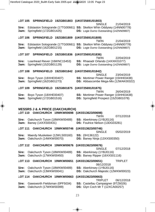|                | LOT 105 |                                                                                             | SPRINGFIELD 19ZGB01803 | (UK0725691/01803)                                                                                                                  |                |
|----------------|---------|---------------------------------------------------------------------------------------------|------------------------|------------------------------------------------------------------------------------------------------------------------------------|----------------|
| Sire:<br>Dam:  |         | Springfield (17ZGB01425)                                                                    |                        | <b>SINGLE</b><br>Edstaston Sotogrande (17TG00661) SS: Skelton Whin Oddysey (14NN00778)<br>DS: Logie Durno Outstanding (14ZNN09807) | 21/04/2019     |
| <b>LOT 106</b> |         | SPRINGFIELD 19ZGB01809 (UK0725691/01809)                                                    |                        |                                                                                                                                    |                |
| Sire:<br>Dam:  |         | Springfield (16ZGB01215)                                                                    |                        | TWIN<br>Edstaston Sotogrande (17TG00661) SS: Skelton Whin Oddysey (14NN00778)<br><b>DS:</b> Logie Durno Outstanding (14ZNN09807)   | 21/04/2019     |
| <b>LOT 107</b> |         | SPRINGFIELD 19ZGB01836 (UK0725691/01836)                                                    |                        | <b>TWIN</b>                                                                                                                        | 22/04/2019     |
| Sire:<br>Dam:  |         | Loanhead Riever (16WNC15453)<br>Springfield (15ZGB01129)                                    |                        | SS: Rhaeadr Orlando (14XXK01077)<br>DS: Logie Durno Outstanding (14ZNN09807)                                                       |                |
| <b>LOT 108</b> |         | SPRINGFIELD 19ZGB01842                                                                      |                        | (UK0725691/01842)<br><b>SINGLE</b>                                                                                                 | 23/04/2019     |
| Sire:<br>Dam:  |         | Boyo Tyson (18XHE00407)<br>Springfield (16ZGB01273)                                         |                        | SS: Mortimer Power Ranger (15HH03438)<br>DS: Abbascombe Mega-Mix (12WAK00322)                                                      |                |
| LOT 109        |         | SPRINGFIELD 19ZGB01875                                                                      |                        | (UK0725691/01875)                                                                                                                  |                |
| Sire:<br>Dam:  |         | Boyo Tyson (18XHE00407)<br>Springfield (17ZGB01516)                                         |                        | <b>TWIN</b><br><b>SS: Mortimer Power Ranger (15HH03438)</b><br>DS: Springfield Prospect (15ZGB01078)                               | 26/04/2019     |
|                |         | <b>MESSRS J &amp; A PRICE (OAKCHURCH)</b><br>LOT 110 OAKCHURCH 19WKW00698 (UK0313623/00698) |                        |                                                                                                                                    |                |
|                |         |                                                                                             |                        |                                                                                                                                    |                |
| Sire:<br>Dam:  |         | Oakchurch Tyson (18WKW00489)<br>Banwy (14XXS00431)                                          |                        | TWIN<br>SS: Aberkinsey (1YBJ0116)<br>DS: Foulrice Nelson (13DG03281)                                                               | 07/12/2018     |
| <b>LOT 111</b> |         | OAKCHURCH 19WKW00746                                                                        |                        | (UK0313623/00746)                                                                                                                  |                |
| Sire:<br>Dam:  |         | Maerdy Musketeer (12WLS00160)<br>Oakchurch (14WKW00070)                                     |                        | SINGLE<br>SS: (0H136122)<br>DS: Banwy Ninja (13XXS00350)                                                                           | 05/02/2019     |
| LOT 112        |         | OAKCHURCH 19WKW00676                                                                        |                        | (UK0313623/00676)                                                                                                                  |                |
| Sire:<br>Dam:  |         | Oakchurch Tyson (18WKW00489)<br>Oakchurch (17WKW00450)                                      |                        | <b>SINGLE</b><br><b>SS:</b> Aberkinsey (1YBJ0116)<br>DS: Banwy Ripper (16XXS01116)                                                 | 07/12/2018     |
| LOT 113        |         | OAKCHURCH 19WKW00651                                                                        |                        | (UK0313623/00651)                                                                                                                  | <b>TRIPLET</b> |
| Sire:<br>Dam:  |         | Oakchurch Tyson (18WKW00489)<br>Oakchurch (13WKW00041)                                      |                        | 06/12/2018<br>SS: Aberkinsey (1YBJ0116)<br>DS: Oakchurch Majestic (12WKW00023)                                                     |                |
| LOT 114        |         | OAKCHURCH 19WKW00663                                                                        |                        | (UK0313623/00663)<br><b>TRIPLET</b>                                                                                                | 06/12/2018     |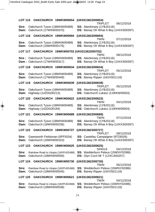|                | LOT 115 OAKCHURCH 19WKW00654                                      | (UK0313623/00654)                                                                                          |
|----------------|-------------------------------------------------------------------|------------------------------------------------------------------------------------------------------------|
| Sire:          | Oakchurch Tyson (18WKW00489)<br>Dam: Oakchurch (17WKW00370)       | TRIPLET<br>06/12/2018<br>SS: Aberkinsey (1YBJ0116)<br>DS: Banwy Oh What A Boy (14XXS00397)                 |
|                | LOT 116 OAKCHURCH 19WKW00694                                      | (UK0313623/00694)                                                                                          |
| Sire:<br>Dam:  | Oakchurch Tyson (18WKW00489)<br>Oakchurch (16WKW00176)            | <b>TWIN</b><br>07/12/2018<br>SS: Aberkinsey (1YBJ0116)<br>DS: Banwy Oh What A Boy (14XXS00397)             |
|                |                                                                   | LOT 117 OAKCHURCH 19WKW00702 (UK0313623/00702)<br>TWIN<br>08/12/2018                                       |
|                | Sire: Oakchurch Tyson (18WKW00489)<br>Dam: Oakchurch (17WKW00317) | SS: Aberkinsey (1YBJ0116)<br>DS: Banwy Oh What A Boy (14XXS00397)                                          |
|                | LOT 118 OAKCHURCH 19WKW00634                                      | (UK0313623/00634)<br><b>TRIPLET</b><br>05/12/2018                                                          |
| Sire:          | Oakchurch Tyson (18WKW00489)<br>Dam: Oakchurch (17WKW00449)       | SS: Aberkinsey (1YBJ0116)<br>DS: Banwy Ripper (16XXS01116)                                                 |
| LOT 119        | OAKCHURCH 19WKW00639                                              | (UK0313623/00639)                                                                                          |
| Sire:          | Oakchurch Tyson (18WKW00489)<br>Dam: Highway (14ZDG00213)         | <b>TRIPLET</b><br>05/12/2018<br>SS: Aberkinsey (1YBJ0116)<br>DS: Oakchurch Lukasz (11WKW00003)             |
| <b>LOT 120</b> | OAKCHURCH 19WKW00622                                              | (UK0313623/00622)<br>TWIN<br>04/12/2018                                                                    |
| Sire:          | Oakchurch Tyson (18WKW00489)<br>Dam: Highway (14ZDG00194)         | SS: Aberkinsey (1YBJ0116)<br>DS: Oakchurch Lukasz (11WKW00003)                                             |
| <b>LOT 121</b> | OAKCHURCH 19WKW00689                                              | (UK0313623/00689)                                                                                          |
| Sire:<br>Dam:  | Oakchurch Tyson (18WKW00489)<br>Oakchurch (16WKW00236)            | TWIN<br>07/12/2018<br>SS: Aberkinsey (1YBJ0116)<br>DS: Banwy Oh What A Boy (14XXS00397)                    |
| <b>LOT 122</b> | OAKCHURCH 19WKW00727                                              | (UK0313623/00727)                                                                                          |
| Sire:<br>Dam:  | Gawsworth Fieldsman (0PF5034)<br>Oakchurch (16WKW00153)           | <b>TRIPLET</b><br>09/12/2018<br>SS: Castellau Campaigner (9TZ6026)<br>DS: Banwy Oh What A Boy (14XXS00397) |
| <b>LOT 123</b> | OAKCHURCH 19WKW00625                                              | (UK0313623/00625)                                                                                          |
| Sire:<br>Dam:  | Rainbow Road to Utopia (16XPU02468)<br>Oakchurch (18WKW00559)     | <b>SINGLE</b><br>04/12/2018<br>SS: Wedderburn Peleus (15WNY02086)<br>DS: Glyn Coch Mr T (12XCA00257)       |
| LOT 124        | OAKCHURCH 19WKW00730                                              | (UK0313623/00730)<br><b>TWIN</b><br>05/12/2018                                                             |
| Sire:<br>Dam:  | Rainbow Road to Utopia (16XPU02468)<br>Oakchurch (18WKW00545)     | SS: Wedderburn Peleus (15WNY02086)<br>DS: Banwy Ripper (16XXS01116)                                        |
| LOT 125        | OAKCHURCH 19WKW00621                                              | (UK0313623/00621)                                                                                          |
| Sire:<br>Dam:  | Rainbow Road to Utopia (16XPU02468)<br>Oakchurch (18WKW00538)     | TWIN<br>04/12/2018<br>SS: Wedderburn Peleus (15WNY02086)<br>DS: Banwy Ripper (16XXS01116)                  |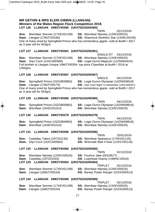#### **MR GETHIN & MRS ELERI GIBBIN (LLANGAN) Winners of the Wales Region Flock Competition 2019. LOT 126 LLANGAN 19WZY00365 (UK0752242/00365)**

TWIN 02/12/2018

**Sire:** Wernfawr Stormer (17XEV01199) **SS:** Wernfawr Nijinsky (13XEV00525) **Dam:** Llangan (17WZY00160) **DS:** Shamrock Northern Star (13XRL00159) One of many sired by Springfield Prince who has tremendous gigots- sold at Builth I 2017 as 3 year old for 920gns

#### **LOT 127 LLANGAN 19WZY00381 (UK0752242/00381)**

SINGLE-ET 03/12/2018 **Sire:** Wernfawr Stormer (17XEV01199) **SS:** Wernfawr Nijinsky (13XEV00525) **Dam:** Glyn Coch (14XCA00569) **DS:** Logie Durno Magnum (12ZNN04424) Full brother to Llangan Unique 19WZY00354- top price Charollais at Builth I 2019 at 1350gns.

#### **LOT 128 LLANGAN 19WZY00367 (UK0752242/00367)**

SINGLE 04/12/2018 **Sire:** Springfield Prince (15ZGB00963) **SS:** Logie Durno Olympian (14ZNN09818) **Dam:** Llangan (17WZY00174) **DS:** Glyn Coch Night To Remember (13XCA00357) One of many sired by Springfield Prince who has tremendous gigots- sold at Builth I 2017 as 3 year old for 920gns

#### **LOT 129 LLANGAN 19WZY00380 (UK0752242/00380)**

TWIN 04/12/2018 **Sire:** Springfield Prince (15ZGB00963) **SS:** Logie Durno Olympian (14ZNN09818) **Dam:** Wernfawr (16XEV01014) **DS:** Wernfawr Nijinsky (13XEV00525)

#### **LOT 130 LLANGAN 19WZY00379 (UK0752242/00379)**

TWIN 04/12/2018 **Sire:** Springfield Prince (15ZGB00963) **SS:** Logie Durno Olympian (14ZNN09818) **Dam:** Wernfawr (16XEV01014) **DS:** Wernfawr Nijinsky (13XEV00525)

#### **LOT 131 LLANGAN 19WZY00396 (UK0752242/00396)**

TWIN 25/01/2019 **Sire:** Castellau Talent (18TZ02130) **SS:** Wernfawr Spartacus (17XEV01125) **Dam:** Glyn Coch (15XCA00664) **DS:** Wrenvale Mad 4 Ewe (12XGY00118)

#### **LOT 132 LLANGAN 19WZY00360 (UK0752242/00360)**

**Sire:** Wernfawr Nijinsky (13XEV00525) **SS:** Foulrice Jake (0DG9577) **Dam:** Castellau (15TZ01033) **DS:** Loanhead Osprey (14WNC10016) **LOT 133 LLANGAN 19WZY00364 (UK0752242/00364)**  TRIPLET 02/12/2018 **Sire:** Wernfawr Stormer (17XEV01199) **SS:** Wernfawr Nijinsky (13XEV00525) **Dam:** Llangan (16WZY00104) **DS:** Banwy Power Ranger (15XXS00513)

#### **LOT 134 LLANGAN 19WZY00369 (UK0752242/00369)**

TRIPLET 02/12/2018 **Sire:** Wernfawr Stormer (17XEV01199) **SS:** Wernfawr Nijinsky (13XEV00525) **Dam:** Llangan (16WZY00104) **DS:** Banwy Power Ranger (15XXS00513)

TWIN 02/12/2018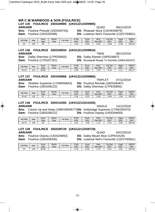### 26

#### **MR C W MARWOOD & SON (FOULRICE) LOT 135 FOULRICE 20DG09985 (UK0122123/09985) ARR/ARR** QUAD 09/12/2019

**Sire:** Foulrice Prelude (15DG05734) **SS:** Rhaeadr Nock (13XXK00879) **Dam:** Foulrice (15DG05498) **DS:** Lowerye Neil's Favourite (13ZVY00661)

| Adi Wat | Age | Scan<br>Wat | Mscle<br>Dep | Fat<br>Dep | 3 Wk<br><b>EBV</b> | Scan<br>EBV | Mscl<br>EBV<br>Dpt | Fat Dpt<br>EBV | Gigot<br><b>EBV</b> | <b>INDEX</b><br>EBV |
|---------|-----|-------------|--------------|------------|--------------------|-------------|--------------------|----------------|---------------------|---------------------|
| 25      | 130 | 56          |              |            | 2.54               | 6.90        | 0.26               | $-0.63$        | 0.95<br>--          | 230.16              |

#### **LOT 136 FOULRICE 20DG09934 (UK0122123/09934)**

**Sire:** Dalby Sherman (17PE05855) **SS:** Dalby Ranieri (16PE04907)

**Dam:** Foulrice (17DG07151) **DS:** Bronwydd Ready To Rumble (16WAJ00437)

| Adi Wat | Age | Scan<br>Wgt | Mscle<br>Dep | $at$<br>Dep | 8 Wk<br>EBV | Scan<br>EBV | Mscl<br>EBV<br>Dpt | Fat Dpt<br>EBV | Gigot<br>EBV | <b>INDEX</b><br>EBV |
|---------|-----|-------------|--------------|-------------|-------------|-------------|--------------------|----------------|--------------|---------------------|
| 25.20   | 131 | 56.50       |              |             | 2.08        | 5.52        | .59،               | 0.42           | . .          | 262.17              |

#### **LOT 137 FOULRICE 20DG09866 (UK0122123/09866) ARR/ARR** TRIPLET 07/12/2019

**Sire:** Sheldon Supreme (17XNR00843) **SS:** Foulrice Rechab (16DG06467)

**DS:** Dalby Sherman (17PE05855)

| Adi Wat | Age | Scan<br>Wat | Mscle<br>Dep | Fat<br>Dep | 8 Wk<br>EBV | Scan<br>EBV | Mscl<br>Dpt EBV | Fat Dpt<br>EBV | Gigot<br>EBV | <b>INDEX</b><br>EBV |
|---------|-----|-------------|--------------|------------|-------------|-------------|-----------------|----------------|--------------|---------------------|
| 25.40   | 132 | E0<br>ు∠    |              |            | 2.06        | 5.52        | 2.68            | 0.84           | .88،         | 301.05              |

#### **LOT 138 FOULRICE 20DG10265 (UK0122123/10265)**

**ARR/ARR** SINGLE 13/12/2019 **Sire:** Cavick Up and Away (19WVW00677) **SS:** Hollylodge Supreme (17XWZ00370) **Dam:** Foulrice (18DG08212) **DS:** Foulrice Osprey (14DG04650)

| Adi Wat | Age | Scan<br>Wat | Mscle<br>Dep | Fat<br>Dep | 3 Wk<br><b>EBV</b> | Scan<br><b>EBV</b> | Mscl<br>EBV<br>Dpt | Fat<br>Dpt<br><b>EBV</b> | Gigot<br>EBV | <b>INDEX</b><br><b>EBV</b> |
|---------|-----|-------------|--------------|------------|--------------------|--------------------|--------------------|--------------------------|--------------|----------------------------|
| 24.70   | 126 | 52<br>ບວ    |              |            | 3.01               | 7.99               | .                  | 0.15                     | 0.58         | 282.64                     |

#### **LOT 139 FOULRICE 20DG09729 (UK0122123/09729) ARR/ARR** QUAD 04/12/2019

**Sire:** Foulrice Osprey (14DG04650) **SS:** Dalby Mount Aloe (12PE01524) **Dam:** Foulrice (16DG06435) **DS:** Lowerye Neil's Favourite (13ZVY00661)

| Adj Wgt | Age | Scan<br>Wat | Mscle<br>Dep | $F$ at Dep | 3 Wk<br><b>EBV</b> | Scan<br>EBV | Mscl<br>EBV<br>Dpt | Fat<br>Dpt<br>EBV | Gigot<br><b>EBV</b> | <b>INDEX</b><br>EBV |
|---------|-----|-------------|--------------|------------|--------------------|-------------|--------------------|-------------------|---------------------|---------------------|
| 25      | 135 | 55.50       |              |            | 70<br>2.10         | 6.56        | 1.75               | 0.10              | 1.62                | 297.63              |

| Age | Scan<br>Wgt | Mscle<br>Dep | Fat Dep | 8 Wk<br>EBV | Scan<br><b>EBV</b> | Mscl<br>Dpt EBV | Fat Dpt<br>EB <sub>V</sub> | Gi<br>Ε<br>∸ |
|-----|-------------|--------------|---------|-------------|--------------------|-----------------|----------------------------|--------------|
| 132 | 52          |              |         | 2.06        | 5.52               | 2.68            | $-0.84$                    |              |

**ARR/ARR** TWIN 08/12/2019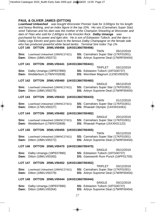#### **PAUL & OLIVER JAMES (DITTON)**

*Loanhead Unleashed was bought Worcester Premier Sale for 3,000gns for his length and heavy fleshing, and an index figure in the top 10%. His sire (Cannahars Super Star) sired Talisman and his dam was the mother of the Champion Shearling at Worcester and dam of Titan who sold for 2,600gns to the Knockin flock. Dalby Umanga was purchased for his power and tight skin. He is son of Edstaston Tulloch, and the dam is Dalby Legs Eleven and goes back to the famous Dalby Champagne on the female side who has produced powerful white faced lambs. Terminal Sire Index Top 1%.* 

#### **LOT 140 DITTON 20WLV00456 (UK0313667/00456)**

|                                              |  | <b>TWIN</b> | 05/12/2019                                  |
|----------------------------------------------|--|-------------|---------------------------------------------|
| <b>Sire:</b> Loanhead Unleashed (19WNC27421) |  |             | <b>SS:</b> Cannahars Super Star (17KF01001) |
| <b>Dam:</b> Ditton (18WLV00272)              |  |             | <b>DS:</b> Arbryn Supreme Deal (17WRF00454) |

#### **LOT 141 DITTON 20WLV00441 (UK0313667/00441)**

|                                       | <b>IRIFLEI</b><br>03/12/2019             |
|---------------------------------------|------------------------------------------|
| <b>Sire:</b> Dalby Umanga (19PE07890) | <b>SS:</b> Edstaston Tulloch (18TG00737) |
| <b>Dam:</b> Wedderburn (17WNY02838)   | <b>DS:</b> Wernfawr Magnum (12XEV00325)  |

TRIPLET 03/12/2019

TWIN 01/12/2019

SINGLE 20/12/2019

 $T$ WIN  $0.5/12/201$ 

TRIPLET 03/12/2019

SINGLE 03/12/2019

#### **LOT 142 DITTON 20WLV00460 (UK0313667/00460)**

|                                              | SINGLE.                                     | 06/12/2019 |
|----------------------------------------------|---------------------------------------------|------------|
| <b>Sire:</b> Loanhead Unleashed (19WNC27421) | <b>SS: Cannahars Super Star (17KF01001)</b> |            |
| <b>Dam:</b> Ditton (18WLV00275)              | <b>DS:</b> Arbryn Supreme Deal (17WRF00454) |            |

#### **LOT 143 DITTON 20WLV00433 (UK0313667/00433)**

|                                              | .<br><b>UILLIZIU J</b>                      |
|----------------------------------------------|---------------------------------------------|
| <b>Sire:</b> Loanhead Unleashed (19WNC27421) | <b>SS: Cannahars Super Star (17KF01001)</b> |
| <b>Dam:</b> Ditton (17WLV00227)              | <b>DS:</b> Rhaeadr Olympic (14XXK01061)     |

#### **LOT 144 DITTON 20WLV00482 (UK0313667/00482)**

|                                              | LUI ILILU IU                                |
|----------------------------------------------|---------------------------------------------|
| <b>Sire:</b> Loanhead Unleashed (19WNC27421) | <b>SS:</b> Cannahars Super Star (17KF01001) |
| <b>Dam:</b> Wedderburn (17WNY02808)          | <b>DS:</b> Rhaeadr Popeye (15XXK01122)      |

#### **LOT 145 DITTON 20WLV00455 (UK0313667/00455)**

|                                              | 1 V V I I V                                 | <b>UUILLIZIO</b> |
|----------------------------------------------|---------------------------------------------|------------------|
| <b>Sire:</b> Loanhead Unleashed (19WNC27421) | <b>SS: Cannahars Super Star (17KF01001)</b> |                  |
| <b>Dam:</b> Ditton (18WLV00272)              | <b>DS:</b> Arbryn Supreme Deal (17WRF00454) |                  |

#### **LOT 146 DITTON 20WLV00470 (UK0313667/00470)**

|                                       | <b>SINGLE</b>                              | 05/12/2019 |
|---------------------------------------|--------------------------------------------|------------|
| <b>Sire:</b> Dalby Umanga (19PE07890) | <b>SS:</b> Edstaston Tulloch (18TG00737)   |            |
| <b>Dam:</b> Ditton (18WLV00283)       | <b>DS:</b> Gawsworth Rum Punch (16PF01705) |            |

#### **LOT 147 DITTON 20WLV00452 (UK0313667/00452)**

|                                              | <b>UUILLEUI</b> U                           |
|----------------------------------------------|---------------------------------------------|
| <b>Sire:</b> Loanhead Unleashed (19WNC27421) | <b>SS: Cannahars Super Star (17KF01001)</b> |
| <b>Dam:</b> Ditton (18WLV00279)              | <b>DS:</b> Arbryn Supreme Deal (17WRF00454) |

#### **LOT 148 DITTON 20WLV00444 (UK0313667/00444)**

| <b>Sire:</b> Dalby Umanga (19PE07890) | <b>SS:</b> Edstaston Tulloch (18TG00737)    |
|---------------------------------------|---------------------------------------------|
| <b>Dam:</b> Ditton (18WLV00264)       | <b>DS:</b> Arbryn Supreme Deal (17WRF00454) |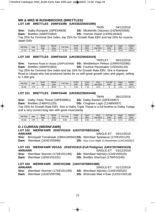#### **MR & MRS M RUSHBROOKE (BRETTLES) LOT 149 BRETTLES 20WF03396 (UK0302256/03396)**

TWIN 04/12/2019

**Sire:** Dalby Rumpole (16PE04909) **SS:** Micklehills Odyssey (14ZWA03356)

**Dam:** Brettles (16WF01954) **DS:** Inverae Oisian (14XNL00343)

Top 25% for Terminal Sire Index, top 25% for Growth Rate EBV and top 25% for muscle depth EBV

| Adj Wat | Age | Scan<br>Wat | Mscle<br>Dep | Fat Dep | 3 Wk<br><b>EBV</b> | Scan<br><b>EBV</b> | Mscl<br>Dpt EBV | Fat<br>Dpt<br><b>EBV</b> | Gigot<br><b>EBV</b> | <b>INDEX</b><br><b>EBV</b> |
|---------|-----|-------------|--------------|---------|--------------------|--------------------|-----------------|--------------------------|---------------------|----------------------------|
| 27.20   | 180 | 78          | 33.02        | 6.30    | つら<br>د.د.         | 6.08               | 1.49            | .22<br>u.zo              | $\sim$<br>-0.44     | 248.34                     |

#### **LOT 150 BRETTLES 20WF03419 (UK0302256/03419)**

TRIPLET 05/12/2019 **Sire:** Rainbow Road to Utopia (16XPU02468) **SS:** Wedderburn Peleus (15WNY02086) **Dam:** Brettles (16WF01863) **DS:** Foulrice Pacemaker (15DG05116) Top 25% for Terminal Sire Index and top 10% for Growth Rate EBV. Sire is Rainbow Road to Utopia who has produced lambs for us with great growth rates and gigots, selling to 7,000 gns

| Adj Wat | Age | Scan<br>Wat | Mscle<br>Dep | Fat Dep | 9 Wk<br><b>EBV</b> | Scan<br>EBV | Mscl<br>Dot<br>EBV | Fat Dpt<br>EBV | Gigot<br>EB <sub>V</sub> | <b>INDEX</b><br><b>EBV</b> |
|---------|-----|-------------|--------------|---------|--------------------|-------------|--------------------|----------------|--------------------------|----------------------------|
| 25.60   | 179 | --          | 30.61        |         | 2.62               | 4           | $-0.47$            |                | . .54                    | 234.73                     |

#### **LOT 151 BRETTLES 20WF03448 (UK0302256/03448)**

TWIN 06/12/2019

**Sire:** Dalby Triple Threat (18PE06851) **SS:** Dalby Ranieri (16PE04907)

**Dam:** Brettles (14WF01220) **DS:** Crogham Logic (11AB00057)

Top 25% for Growth Rate EBV. Sire is Dalby Triple Threat is a full brother to Dalby Tuilagi and a very correct long ram with good muscularity.

| Adj Wgt | Age | Scan<br>Wat | Mscle<br>Dep | Fat<br>Dep | 9 Wk<br>EBV | Scan<br>EBV | Mscl<br>Dpt EBV | Fat Dpt<br>EBV | Gigot<br><b>EBV</b> | <b>INDEX</b><br>EBV |
|---------|-----|-------------|--------------|------------|-------------|-------------|-----------------|----------------|---------------------|---------------------|
| 32.50   | 178 | 83          | 26.59        | 8.60       | 2.18        | 5.92        | 24<br>ا ت       | 0.58           | 70<br>v. 72         | 201.82              |

#### **D J CURRAN (WERNFAWR)**

#### **LOT 152 WERNFAWR 20XEV01634 (UK0720768/01634)**

**ARR/ARR** SINGLE-ET 04/12/2019 **Sire:** Bronwydd Tomahawk (18WAJ00593) **SS:** Wernfawr Spartacus (17XEV01125) **Dam:** Wernfawr (16XEV00996) **DS:** Glyn Coch Night To Remember (13XCA00357)

#### **LOT 153 WERNFAWR VEGAS 20XEV01619 (Full Pedigree) (UK0720768/01619) ARR/ARR** SINGLE-ET 03/12/2019

**Dam:** Wernfawr (18XEV01331) **DS:** Brettles Sherman (17WF02245)

**Sire:** Wernfawr Stormer (17XEV01199) **SS:** Wernfawr Nijinsky (13XEV00525)

#### **LOT 154 WERNFAWR 20XEV01588 (UK0720768/01588) ARR/ARR** SINGLE-ET 01/12/2019

**Sire:** Wernfawr Stormer (17XEV01199) **SS:** Wernfawr Nijinsky (13XEV00525) **Dam:** Wernfawr (15XEV00799) **DS:** Wrenvale Mad 4 Ewe (12XGY00118)

- 
-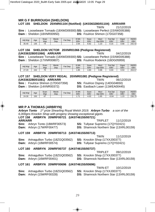#### **MR G F BURROUGH (SHELDON)**

#### **LOT 155 SHELDON 20XNR01104 (Notified) (UK0363280/01104) ARR/ARR**

TWIN 21/12/2019

**Sire :** Loosebeare Tornado (18XWD09300) **SS:** Loosebeare Perfect (15XWD05388) **Dam :** Sheldon (18XNR00950) **DS:** Foulrice Shimon (17DG07358)

| Adj Wgt     | Age | Scan<br>Wat    | Mscle<br>Dep | Fat.<br>Dep | 3 Wk<br><b>EBV</b> | Scan<br>EBV | <b>Mscl</b><br>Dpt EBV | Fat Dpt<br>EBV | Gigot<br><b>EBV</b> | <b>INDEX</b><br>EB\ |
|-------------|-----|----------------|--------------|-------------|--------------------|-------------|------------------------|----------------|---------------------|---------------------|
| 25<br>35.40 | 135 | 7 <sub>1</sub> |              |             | 2.64               | 6.62        | .10                    | 0.15           | 0.68                | 242.42              |

#### **LOT 156 SHELDON VICTOR 20XNR01066 (Pedigree Registered) (UK0363280/01066) ARR/ARR** TWIN 04/12/2019

**Sire :** Loosebeare Tornado (18XWD09300) **SS:** Loosebeare Perfect (15XWD05388) **Dam :** Sheldon (17XNR00807) **DS:** Foulrice Roderick (16DG05959)

| Adj Wgt         | Age | Scan<br>Wgt | Mscle<br>Dep | Fat Dep | 3 Wk<br>EBV | Scan<br><b>EBV</b> | Mscl<br>EBV<br>Dpt | Fat Dpt<br>EB\ | Gigot<br>EBV | <b>INDEX</b><br><b>EBV</b> |
|-----------------|-----|-------------|--------------|---------|-------------|--------------------|--------------------|----------------|--------------|----------------------------|
| $\sim$<br>27.20 | 152 | 70          |              |         | . 85        | 4.80               | 0.88               | 0.03           | 0.53         | 204.57                     |

#### **LOT 157 SHELDON VERY REGAL 20XNR01081 (Pedigree Registered) (UK0363280/01081) ARR/ARR** TWIN 06/12/2019

**Sire :** Foulrice Shimon (17DG07358) **SS:** Foulrice Osprey (14DG04650) **Dam :** Sheldon (14XNR00372) **DS:** Eastbach Laser (11WEA00445)

TWIN 11/12/2019

TWIN-ET 10/12/2019

| Adi Wat | Age | Scan<br>Wgt | Mscle<br>Dep | $F$ at Dep | 8 Wk<br>EBV               | Scan<br><b>EBV</b> | Mscl<br>Dpt EBV | $\overline{\phantom{0}}$<br>Dpt<br>άι<br>EBV | Gigot<br>EBV | <b>INDEX</b><br>EBV |
|---------|-----|-------------|--------------|------------|---------------------------|--------------------|-----------------|----------------------------------------------|--------------|---------------------|
| 24.30   | 150 | 67          |              |            | $\rightarrow$<br>$\cdots$ | 4.03               | . .65           | 0.04                                         | 1.23         | 230.70              |

#### **MR P A THOMAS (ARBRYN)**

*Arbryn Tonto 1st prize Shearling Royal Welsh 2019. Arbryn Turbo a son of the 6,000gns Knockin Shop with progeny showing exceptional gigots.* 

#### **LOT 158 ARBRYN 20WRF00721 (UK0746155/00721)**

| <b>ARR/ARR</b> |                                        | TRIPLET                                        | 11/12/2019 |
|----------------|----------------------------------------|------------------------------------------------|------------|
|                | <b>Sire:</b> Arbryn Tonto (18WRF00573) | <b>SS: Tullyear Supremo (17QY02421)</b>        |            |
|                | <b>Dam:</b> Arbryn (17WRF00477)        | <b>DS:</b> Shamrock Northern Star (13XRL00159) |            |

#### **LOT 159 ARBRYN 20WRF00713 (UK0746155/00713)**

|                                              | .<br>11/12/2013                         |
|----------------------------------------------|-----------------------------------------|
| <b>Sire:</b> Artnagullion Turbo (18ZGQ03562) | <b>SS:</b> Knockin Shop (17XXJ00377)    |
| <b>Dam:</b> Arbryn (18WRF00574)              | <b>DS:</b> Tullyear Supremo (17QY02421) |

#### **LOT 160 ARBRYN 20WRF00737 (UK0746155/00737)**

TRIPLET 09/12/2019 **Sire:** Artnagullion Turbo (18ZGQ03562) **SS:** Knockin Shop (17XXJ00377) **Dam:** Arbryn (16WRF00401) **DS:** Shamrock Northern Star (13XRL00159)

#### **LOT 161 ARBRYN 20WRF00696 (UK0746155/00696)**

|                                              | $1.99 \, \text{H}$ $3.7 \, \text{H}$ $1.97 \, \text{H}$ $2.6 \, \text{H}$ $3.7 \, \text{H}$ |
|----------------------------------------------|---------------------------------------------------------------------------------------------|
| <b>Sire:</b> Artnagullion Turbo (18ZGQ03562) | <b>SS:</b> Knockin Shop (17XXJ00377)                                                        |
| <b>Dam:</b> Arbryn (15WRF00328)              | <b>DS:</b> Shamrock Northern Star (13XRL00159)                                              |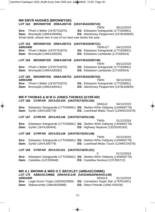## 30

### **MR EMYR HUGHES (BRONWYDD)**

### **LOT 162 BRONWYDD 20WAJ00743 (UK0745433/00743)**

TWIN 05/12/2019

**Sire:** Ffrwd U Belter (19YET01870) **SS:** Edstaston Sotogrande (17TG00661)

**Dam:** Bronwydd (16WAJ00466) **DS:** Aberkinsey Peppermint (15YBJ00845)

Smart lamb, whose twin is one of our best ewe lambs this year.

#### **LOT 163 BRONWYDD 20WAJ00721 (UK0745433/00721) ARR/ARR** TWIN-ET 04/12/2019

**Sire:** Ffrwd U Belter (19YET01870) **SS:** Edstaston Sotogrande (17TG00661)

**Dam:** Bronwydd (14WAJ00325) **DS:** Edstaston Lambarda (11TG00024)

#### **LOT 164 BRONWYDD 20WAJ00749 (UK0745433/00749)**

**Sire:** Ffrwd U Belter (19YET01870) **SS:** Edstaston Sotogrande (17TG00661)

TWIN 06/12/2019

**Dam:** Bronwydd (14WAJ00282) **DS:** Edstaston Lambarda (11TG00024)

### **LOT 165 BRONWYDD 20WAJ00753 (UK0745433/00753)**

- **ARR/ARR** TWIN 06/12/2019 **Sire:** Ffrwd U Belter (19YET01870) **SS:** Edstaston Sotogrande (17TG00661)
- **Dam:** Bronwydd (16WAJ00441) **DS:** Aberkinsey Peppermint (15YBJ00845)

#### **MR P THOMAS & M M G JONES-THOMAS (GYRFAR) LOT 166 GYRFAR 20VAJ01155 (UK0703742/01155)**

SINGLE 04/12/2019 **Sire:** Edstaston Sotogrande (17TG00661) **SS:** Skelton Whin Oddysey (14NN00778) **Dam:** Gyrfar (18VAJ00778) **DS:** Loanhead Midas Touch (12WNC04376)

#### **LOT 167 GYRFAR 20VAJ01146 (UK0703742/01146)**

TWIN 01/12/2019 **Sire:** Edstaston Sotogrande (17TG00661) **SS:** Skelton Whin Oddysey (14NN00778) **Dam:** Gyrfar (16VAJ00404) **DS:** Highway Neptune (13ZDG00163)

#### **LOT 168 GYRFAR 20VAJ01148 (UK0703742/01148)**

TWIN 02/12/2019 **Sire:** Edstaston Sotogrande (17TG00661) **SS:** Skelton Whin Oddysey (14NN00778) **Dam:** Gyrfar (18VAJ00779) **DS:** Loanhead Midas Touch (12WNC04376)

#### **LOT 169 GYRFAR 20VAJ01161 (UK0703742/01161)**

5 01/12/2019 **Sire:** Edstaston Sotogrande (17TG00661) **SS:** Skelton Whin Oddysey (14NN00778) **Dam:** Castellau (14TZ00848) **DS:** Castellau Nockout (13TZ00712)

#### **MR A L BROWN & MRS G C BECKLEY (ABBASCOMBE) LOT 170 ABBASCOMBE 20WAK01149 (UK0345020/WAK01149) ARR/ARR** SINGLE 01/12/2019 **Sire:** Logie Durno Trojan (18ZNN22859) **SS:** Cannahars Super Star (17KF01001) **Dam:** Abbascombe (18WAK00988) **DS:** Ditton Prelude (15WLV00106)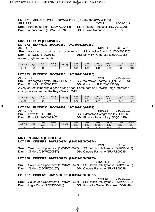#### **LOT 171 ABBASCOMBE 20WAK01159 (UK0345020/WAK01159) ARR/ARR** TWIN 20/12/2019

**Sire:** Hollylodge Storm (17XWZ00414) **SS:** Rhaeadr Prospect (15XXK01129)

#### **MRS J CURTIS (ELMWICK)**

#### **LOT 172 ELMWICK 20DQ02350 (UK0307616/02350) ARR/ARR** TRIPLET 04/12/2019

### **Sire:** Wychelms Under The Radar (19WZD01190) **SS:** Knockin Shockin' (17XXJ00376) **Dam:** Elmwick (17DQ01614) **DS:** Elmwick Pembroke (15DQ01125)

A strong tight wooled lamb

| Adj Wgt | Age      | Scan<br>Wat  | Mscle<br>Dep | $at$ Dep | 3 Wk<br>EBV | Scan<br>EBV | Mscl<br>Dpt EBV | <b>Fat Dpt</b><br>EBV | Gigot<br>EB\ | <b>INDEX</b><br>EBV |
|---------|----------|--------------|--------------|----------|-------------|-------------|-----------------|-----------------------|--------------|---------------------|
| 32.40   | 140<br>ن | $\sim$<br>οU |              |          | つぶら<br>ں ن  | 6.80        | <u>.</u>        | $\sim$<br>ט.∠.ט       | 70<br>v. / u | 278.90              |

#### **LOT 173 ELMWICK 20DQ02320 (UK0307616/02320) ARR/ARR** TWIN 02/12/2019

**Sire:** Bronwydd Toyota (18WAJ00595) **SS:** Wernfawr Spartacus (17XEV01125)

**Dam:** Elmwick (12DQ00478) **DS:** Glyncoch JPR (0XCA9060) A very correct lamb with a good strong head. Same dam as Elmwick Paige Interbreed

champion ewe lamb at the Royal Welsh 2015

| Adj Wgt | Age | Scan<br>Wat | Mscle<br>Dep | $at$ Dep | 3 Wk<br>EBV | Scan<br><b>EBV</b> | <b>Mscl</b><br>Dpt EBV | Fat Dpt<br><b>EBV</b> | Gigot<br><b>EBV</b> | <b>INDEX</b><br>EBV |
|---------|-----|-------------|--------------|----------|-------------|--------------------|------------------------|-----------------------|---------------------|---------------------|
| 33.20   | 115 | 62          |              |          | າາາ<br>ے.ء  | 6.28               | 0.05                   | 0.20                  | $-0.37$             | 209.17              |

#### **LOT 174 ELMWICK 20DQ02403 (UK0307616/02403)**

**ARR/ARR** TRIPLET 06/12/2019 **Sire:** Ffrwd (18YET01832) **SS:** Edstaston Sotogrande (17TG00661) **Dam:** Elmwick (16DQ01346) **DS:** Elmwick Pembroke (15DQ01125)

| Adj Wgt | Age | Scan<br>Wat      | Mscle<br>Dep | Fat<br>Dep | 8 Wk<br>EB\        | Scan<br>EBV | Mscl<br>Dpt<br>EBV | Fat Dpt<br>EBV | Gigot<br>EB\ | <b>INDEX</b><br>EBV |
|---------|-----|------------------|--------------|------------|--------------------|-------------|--------------------|----------------|--------------|---------------------|
| 23.90   |     | $ -$<br>55<br>ບປ |              |            | $\sqrt{2}$<br>U.IJ | 0.87        | 0.49               | $-0.20$        | 0.05         | 117.83              |

#### **MR BEN JAMES (CINDERS)**

**LOT 175 CINDERS 20WRZ00974 (UK0314800/00974)** 

**Sire:** Oakchurch Uppermost (19WKW00677) **SS:**Oakchurch Tyson (18WKW00489) **Dam:** Cinders (18WRZ00537) **DS:** Cinders Panache (15WRZ00089)

TWIN 08/12/2019

#### **LOT 176 CINDERS 20WRZ00975 (UK0314800/00975)**

SINGLE-ET 03/12/2019 **Sire:** Oakchurch Uppermost (19WKW00677) **SS:**Oakchurch Tyson (18WKW00489) **Dam:** Cinders (16WRZ00157) **DS:** Cinders Panache (15WRZ00089)

#### **LOT 177 CINDERS 20WRZ00977 (UK0314800/00977)**

TWIN-ET 04/12/2019 **Sire:** Oakchurch Uppermost (19WKW00677) **SS:**Oakchurch Tyson (18WKW00489) **Dam:** Logie Durno (12ZNN04478) **DS:** Rockvilla Golden Promise (0VV6049)

**Dam:** Abbascombe (16WAK00759) **DS:** Downs Nomad (13XSH01067)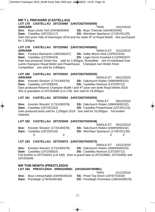#### **MR T L PRICHARD (CASTELLAU) LOT 178 CASTELLAU 20TZ03060 (UK0726270/03060) ARR/ARR** TWIN 10/12/2019

**Sire:** Boyo Uncle Ted (19XHE00494) **SS:** Boyo Theinval (18XHE00400)

**Dam:** Castellau (18TZ02117) **DS:** Wernfawr Spartacus (17XEV01125)

Dam first prize Vale of Glamorgan 2019 and her sister 8<sup>th</sup> at Royal Welsh. Sire purchased for 1,300gns.

### **LOT 179 CASTELLAU 20TZ03062 (UK0726270/03062)**

**ARR/ARR** SINGLE-ET 10/12/2019<br>**Sire:** Foulrice Rachamin (16DG06107) **SS:** Dalby Mount Aloe (12PE01524) **Sire:** Foulrice Rachamin (16DG06107) **Dam:** Castellau (12TZ00419) **DS:** Logie Durno Kracked-it (1ZNN0207) Dam has produced Smart Ass sold for 2,000gns, Rockafella sire of Interbreed Ewe Lamb Champion Royal Welsh and Powerhouse Champion ram Welsh Flock Competition sire sold for 4,800gns.

### **LOT 180 CASTELLAU 20TZ03031 (UK0726270/03035)**

**ARR/ARR** SINGLE-ET 08/12/2019 **Sire:** Knockin Shockin' (17XXJ00376) **SS:** Oakchurch Ruben (16WKW00152) **Dam:** Castellau (14TZ00810) **DS:** Castellau Nockout (13TZ00712) Dam produced Reserve Champion Builth I and 4<sup>th</sup> prize ram lamb Royal Welsh 2019. She is granddam of 20TZ03060 (Lot 178). Sire sold for 25,000gns.

#### **LOT 181 CASTELLAU 20TZ03052 (UK0726270/03052)**

TWIN-ET 09/12/2019

 $SO(40)$ 

**Sire:** Knockin Shockin' (17XXJ00376) **SS:** Oakchurch Ruben (16WKW00152) **Dam:** Castellau (16TZ01322) **DS:** Castellau Powerhouse (15TZ01115) Dam produced lamb sold for 2,200gns 2019. Sire sold for 25,000gns full brother retained.

#### **LOT 182 CASTELLAU 20TZ03048 (UK0726270/03048)**

| Dam: Castellau (18TZ02142)          |  | <b>DS:</b> Wernfawr Spartacus (17XEV01125) |  |                      |  |
|-------------------------------------|--|--------------------------------------------|--|----------------------|--|
| Sire: Knockin Shockin' (17XXJ00376) |  | <b>SS: Oakchurch Ruben (16WKW00152)</b>    |  | SINGLE-ET US/IZIZUIS |  |

#### **LOT 183 CASTELLAU 20TZ03072 (UK0726270/03072)**

**Sire:** Knockin Shockin' (17XXJ00376) **SS:** Oakchurch Ruben (16WKW00152) **Dam:** Castellau (14TZ00810) **DS:** Castellau Nockout (13TZ00712) Full brother to 20TZ03031 (Lot 180). Dam is grand dam to 20TZ03060, 20TZ03052 and 20TZ03048.

#### **MR TOM NEWTH (PRESTLEIGH) LOT 184 PRESTLEIGH 20WSG00981 (UK0354357/00981)**

**Sire:** Boyo Untouchable (19XHE00534) **SS:** Ffrwd Top Notch (18YET01819)

TWIN 01/12/2019

**Dam:** Prestleigh (17WSG00190) **DS:** Prestleigh Prominent (15WSG00079)

SINGLE-ET 10/12/2019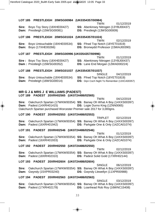#### **LOT 185 PRESTLEIGH 20WSG00984 (UK0354357/00984)**  TWIN 01/12/2019

**Sire:** Boyo Toy Story (18XHE00427) **SS:** Aberkinsey Nitrogen (13YBJ00437) **Dam:** Prestleigh (15WSG00081) **DS:** Prestleigh (13WSG00009)

#### **LOT 186 PRESTLEIGH 20WSG01024 (UK0354357/01024)**

**Sire:** Boyo Untouchable (19XHE00534) **SS:** Ffrwd Top Notch (18YET01819) **Dam:** Boyo (17XHE00266) **DS:** Bronwydd Professor (15WAJ00390)

#### **LOT 187 PRESTLEIGH 20WSG00996 (UK0354357/00996)**

**LOT 188 PRESTLEIGH 20WSG01037 (UK0354357/01037)** 

**Sire:** Boyo Untouchable (19XHE00534) **SS:** Ffrwd Top Notch (18YET01819)

TWIN 02/12/2019

- 
- 

TWIN 01/12/2019

**Sire :** Boyo Toy Story (18XHE00427) **SS:** Aberkinsey Nitrogen (13YBJ00437)

**Dam :** Prestleigh (15WSG00352) **DS:** Lane End Morgan (12WAD00224)

SINGLE 04/12/2019

**Dam:** Prestleigh (16WSG00014) **DS:** Glyn Coch Night To Remember (13XCA00357)

### **MR G J & MRS J E WILLIAMS (PADEST)**

#### **LOT 189 PADEST 20XRH02565 (UK0724486/02565)**

TWIN 04/12/2019 **Sire:** Oakchurch Spartan (17WKW00354) **SS:** Banwy Oh What A Boy (14XXS00397) **Dam:** Padest (14XRH01415) **DS:** Logie Durno King (1ZNN0065) Oakchurch Spartan purchased Worcester Premier sale 2017 for 3,000gns.

#### **LOT 190 PADEST 20XRH02553 (UK0724486/02553)**

TRIPLET 02/12/2019 **Sire:** Oakchurch Spartan (17WKW00354) **SS:** Banwy Oh What A Boy (14XXS00397) **Dam:** Padest (16XRH01942) **DS:** Parkgate One & Only (14ZCA01074)

#### **LOT 191 PADEST 20XRH02546 (UK0724486/02546)**

TWIN 01/12/2019 **Sire:** Oakchurch Spartan (17WKW00354) **SS:** Banwy Oh What A Boy (14XXS00397) **Dam:** Padest (16XRH01933) **DS:** Parkgate One & Only (14ZCA01074)

#### **LOT 192 PADEST 20XRH02550 (UK0724486/02550)**

TWIN 02/12/2019 **Sire:** Oakchurch Spartan (17WKW00354) **SS:** Banwy Oh What A Boy (14XXS00397) **Dam:** Padest (18XRH02310) **DS:** Padest Solid Gold (17XRH02144)

#### **LOT 193 PADEST 20XRH02604 (UK0724486/02604)**

SINGLE 06/12/2019 **Sire:** Oakchurch Spartan (17WKW00354) **SS:** Banwy Oh What A Boy (14XXS00397) **Dam:** Gwyndy (15XPR03240) **DS:** Gwyndy Llewellyn (11XPR00988)

#### **LOT 194 PADEST 20XRH02563 (UK0724486/02563)**

SINGLE 03/12/2019 **Sire:** Oakchurch Spartan (17WKW00354) **SS:** Banwy Oh What A Boy (14XXS00397) **Dam:** Padest (17XRH02178) **DS:** Loanhead Rob Roy (16WNC15408)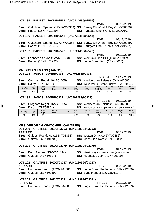| 34.60                                    | 163 | 83                   |                                                                                      |         | 2.99                                         | 7.27        | 0.16            | $-0.48$                                                                | 0.45                                                           | 254.11                     |
|------------------------------------------|-----|----------------------|--------------------------------------------------------------------------------------|---------|----------------------------------------------|-------------|-----------------|------------------------------------------------------------------------|----------------------------------------------------------------|----------------------------|
| <b>LOT 199</b>                           |     |                      |                                                                                      |         | JANOS 20VEH00327 (UK0701281/00327)           |             |                 |                                                                        |                                                                |                            |
|                                          |     |                      |                                                                                      |         |                                              |             |                 | SINGLE-ET                                                              | 06/12/2019                                                     |                            |
| Sire:                                    |     |                      | Crogham Regal (16AB01065)                                                            |         |                                              |             |                 |                                                                        | <b>SS: Wedderburn Peleus (15WNY02086)</b>                      |                            |
| Dam:                                     |     | Dalby (17PE05851)    |                                                                                      |         |                                              |             |                 |                                                                        | <b>DS:</b> Wedderburn Rumpy Pumpy (16WNY02437)                 |                            |
| Adj Wgt                                  | Age | Scan<br>Wgt          | Mscle<br>Dep                                                                         | Fat Dep | 8 Wk<br>EBV                                  | Scan<br>EBV | Mscl<br>Dpt EBV | Fat Dpt<br>EBV                                                         | Gigot<br><b>EBV</b>                                            | <b>INDEX</b><br><b>EBV</b> |
| 31                                       | 168 | 73                   |                                                                                      |         | 2.13                                         | 4.89        | 0.16            | $-0.48$                                                                | 0.45                                                           | 211.91                     |
| <b>LOT 200</b><br><b>ARR/ARR</b><br>Dam: |     | Galtres (16ZKT01708) | <b>MRS DEBORAH WHITCHER (GALTRES)</b><br><b>Sire:</b> Galtres Rockforce (16ZKT01853) |         | GALTRES 20ZKT03293 (UK0129994/03293)         |             | TWIN            | <b>SS:</b> Wotton Onyx (14ZVT00486)<br>DS: Moss Side Nero (13ZRN00225) | 05/12/2019                                                     |                            |
|                                          |     |                      |                                                                                      |         | LOT 201 GALTRES 20ZKT03270 (UK0129994/03270) |             | <b>TWIN</b>     |                                                                        |                                                                |                            |
| Sire:<br>Dam:                            |     | Galtres (14ZKT01171) | Banc Pioneer (15XXB01124)                                                            |         |                                              |             |                 | DS: Mountsted Jethro (0XHL9100)                                        | 04/12/2019<br><b>SS:</b> Aberkinsey Nuclear Power (13YBJ00517) |                            |
|                                          |     |                      |                                                                                      |         | LOT 202 GALTRES 20ZKT03247 (UK0129994/03247) |             |                 |                                                                        |                                                                |                            |
| <b>ARR/ARR</b>                           |     |                      |                                                                                      |         |                                              |             | SINGLE          |                                                                        | 03/12/2019                                                     |                            |
| Sire:<br>Dam:                            |     | Galtres (18ZKT02592) | Hundalee Sandor (17XMP04086)                                                         |         |                                              |             |                 | <b>DS:</b> Banc Pioneer (15XXB01124)                                   | <b>SS:</b> Logie Durno Perfection (15ZNN12369)                 |                            |
|                                          |     |                      |                                                                                      |         | LOT 203 GALTRES 20ZKT03311 (UK0129994/03311) |             |                 |                                                                        |                                                                |                            |
| <b>ARR/ARQ</b>                           |     |                      |                                                                                      |         |                                              |             | SINGLE          |                                                                        | 03/12/2019                                                     |                            |
| Sire:                                    |     |                      | Hundalee Sandor (17XMP04086)                                                         |         |                                              |             |                 |                                                                        | <b>SS:</b> Logie Durno Perfection (15ZNN12369)                 |                            |
|                                          |     |                      |                                                                                      |         |                                              |             |                 |                                                                        |                                                                |                            |
|                                          |     |                      |                                                                                      |         |                                              |             |                 |                                                                        |                                                                |                            |
|                                          |     |                      |                                                                                      |         | 34                                           |             |                 |                                                                        |                                                                |                            |

**Sire:** Crogham Regal (16AB01)

|      | SINGLE-ET<br>11/12/2019                        |
|------|------------------------------------------------|
| 065) | <b>SS:</b> Wedderburn Peleus (15WNY02086)      |
|      | <b>DS:</b> Wedderburn Rumpy Pumpy (16WNY02437) |

|         |     |                               | <b>Sire.</b> Clogriani Regal (T0AD0T009) |         |             |             | <b>33.</b> Wedderburn Feleus (1999) 192000     |                       |              |                            |
|---------|-----|-------------------------------|------------------------------------------|---------|-------------|-------------|------------------------------------------------|-----------------------|--------------|----------------------------|
|         |     | <b>Dam:</b> Dalby (17PE05851) |                                          |         |             |             | <b>DS:</b> Wedderburn Rumpy Pumpy (16WNY02437) |                       |              |                            |
| Adj Wat | Age | Scan<br>Wat                   | Mscle<br>Dep                             | Fat Dep | 8 Wk<br>EBV | Scan<br>EBV | <b>Mscl</b><br>Dot EBV                         | Fat Dpt<br><b>EBV</b> | Giaot<br>EBV | <b>INDEX</b><br><b>EBV</b> |
| .       | .   |                               |                                          |         | .           |             |                                                | .                     |              |                            |

TWIN 02/12/2019 **Sire:** Oakchurch Spartan (17WKW00354) **SS:** Banwy Oh What A Boy (14XXS00397) **Dam:** Padest (16XRH01929) **DS:** Parkgate One & Only (14ZCA01074)

#### **LOT 196 PADEST 20XRH02548 (UK0724486/02548)**

TWIN 02/12/2019 **Sire:** Oakchurch Spartan (17WKW00354) **SS:** Banwy Oh What A Boy (14XXS00397) **Dam:** Padest (16XRH01987) **DS:** Parkgate One & Only (14ZCA01074)

#### **LOT 197 PADEST 20XRH02576 (UK0724486/02576)**

**Sire:** Loanhead Saxon (17WNC18334) **Dam:** Padest (16XRH01932) **DS:** Logie Durno King (1ZNN0065)

### **MR BRYAN EVANS (JANOS)**

#### **LOT 198 JANOS 20VEH00333 (UK0701281/00333)**

## TWIN 05/12/2019<br>**SS:** Wernfawr Red Bull (16XEV00947)

#### **LOT 195 PADEST 20XRH02551 (UK0724486/02551)**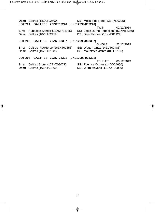**Dam:** Galtres (18ZKT02590) **DS:** Moss Side Nero (13ZRN00225) **LOT 204 GALTRES 20ZKT03240 (UK0129994/03240)** 

TWIN 02/12/2019

**Sire:** Hundalee Sandor (17XMP04086) **SS:** Logie Durno Perfection (15ZNN12369) **Dam:** Galtres (18ZKT02459) **DS:** Banc Pioneer (15XXB01124)

#### **LOT 205 GALTRES 20ZKT03357 (UK0129994/03357)**

SINGLE 22/12/2019

**Sire:** Galtres Rockforce (16ZKT01853) **SS:** Wotton Onyx (14ZVT00486) **Dam:** Galtres (15ZKT01383) **DS:** Mountsted Jethro (0XHL9100)

#### **LOT 206 GALTRES 20ZKT03321 (UK0129994/03321)**

TRIPLET 06/12/2019

- **Sire:** Galtres Storm (17ZKT02071) **SS:** Foulrice Osprey (14DG04650)
- **Dam:** Galtres (16ZKT01800) **DS:** Wern Maverick (12XZT00039)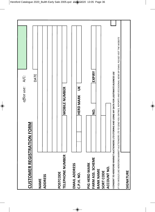|                                                       | office use: A/C:                                                                                                                                                                                                                           |  |
|-------------------------------------------------------|--------------------------------------------------------------------------------------------------------------------------------------------------------------------------------------------------------------------------------------------|--|
| CUSTOMER                                              | DATE<br><b>REGISTRATION FORM</b>                                                                                                                                                                                                           |  |
| <b>ADDRESS</b><br>NAME                                |                                                                                                                                                                                                                                            |  |
|                                                       |                                                                                                                                                                                                                                            |  |
| TELEPHONE NUMBER<br>POSTCODE                          | <b>MOBILE NUMBER</b>                                                                                                                                                                                                                       |  |
| EMAIL ADDRESS<br>C.P.H. NO.                           | $\leq$<br><b>HERD MARK</b>                                                                                                                                                                                                                 |  |
| FARM ASS. SCHEME<br>PIG HERD MARK<br><b>BANK NAME</b> | EXPIRY<br>gi                                                                                                                                                                                                                               |  |
| ACCOUNT NO.<br>SORT CODE                              |                                                                                                                                                                                                                                            |  |
|                                                       | IF YOU WOULD LIKE HEREFORD MARKET AUCTIONEERS LTD TO SEND YOU ENTRIES, REPORTS AND OCCASIONAL NEWS BY EMAIL PLEASE VISIT THE WEBSITE<br>I CONSENT TO HEREFORD MARKET AUCTIONEERS LTD STORING AND USING MY DATA FOR LEGITIMATE BUSINESS USE |  |
| SIGNATURE                                             |                                                                                                                                                                                                                                            |  |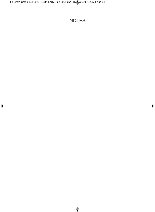### NOTES